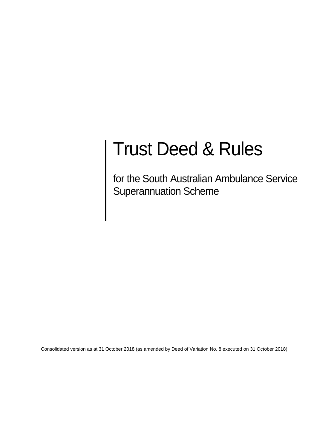# Trust Deed & Rules

for the South Australian Ambulance Service Superannuation Scheme

Consolidated version as at 31 October 2018 (as amended by Deed of Variation No. 8 executed on 31 October 2018)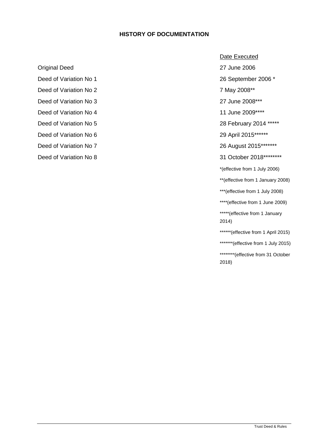#### **HISTORY OF DOCUMENTATION**

Deed of Variation No 1 26 September 2006 \*

- Deed of Variation No 2 7 May 2008\*\*
- 
- Deed of Variation No 4 11 June 2009\*\*\*\*
- Deed of Variation No 5 28 February 2014 \*\*\*\*\*
- Deed of Variation No 6 29 April 2015\*\*\*\*\*\*
- 
- Deed of Variation No 8 31 October 2018\*\*\*\*\*\*\*\*\*

#### Date Executed

Original Deed 27 June 2006

Deed of Variation No 3 27 June 2008<sup>\*\*\*</sup>

Deed of Variation No 7 26 August 2015\*\*\*\*\*\*\*

\*(effective from 1 July 2006)

\*\*(effective from 1 January 2008)

\*\*\*(effective from 1 July 2008)

\*\*\*\*(effective from 1 June 2009)

\*\*\*\*\*(effective from 1 January 2014)

\*\*\*\*\*\*(effective from 1 April 2015)

\*\*\*\*\*\*\*(effective from 1 July 2015)

\*\*\*\*\*\*\*\*\*(effective from 31 October 2018)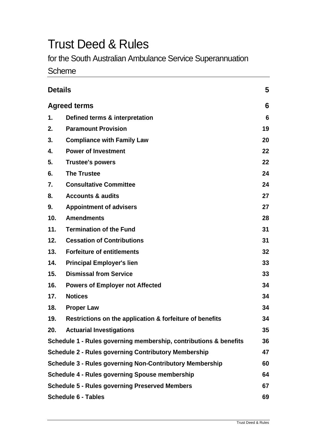## Trust Deed & Rules

for the South Australian Ambulance Service Superannuation

#### Scheme

| <b>Details</b>                                                  |                                                                   |    |
|-----------------------------------------------------------------|-------------------------------------------------------------------|----|
| <b>Agreed terms</b>                                             |                                                                   | 6  |
| 1.                                                              | Defined terms & interpretation                                    | 6  |
| 2.                                                              | <b>Paramount Provision</b>                                        | 19 |
| 3.                                                              | <b>Compliance with Family Law</b>                                 | 20 |
| 4.                                                              | <b>Power of Investment</b>                                        | 22 |
| 5.                                                              | <b>Trustee's powers</b>                                           | 22 |
| 6.                                                              | <b>The Trustee</b>                                                | 24 |
| 7.                                                              | <b>Consultative Committee</b>                                     | 24 |
| 8.                                                              | <b>Accounts &amp; audits</b>                                      | 27 |
| 9.                                                              | <b>Appointment of advisers</b>                                    | 27 |
| 10 <sub>1</sub>                                                 | <b>Amendments</b>                                                 | 28 |
| 11.                                                             | <b>Termination of the Fund</b>                                    | 31 |
| 12.                                                             | <b>Cessation of Contributions</b>                                 | 31 |
| 13.                                                             | <b>Forfeiture of entitlements</b>                                 | 32 |
| 14.                                                             | <b>Principal Employer's lien</b>                                  | 33 |
| 15.                                                             | <b>Dismissal from Service</b>                                     | 33 |
| 16.                                                             | <b>Powers of Employer not Affected</b>                            | 34 |
| 17.                                                             | <b>Notices</b>                                                    | 34 |
| 18.                                                             | <b>Proper Law</b>                                                 | 34 |
| 19.                                                             | Restrictions on the application & forfeiture of benefits          | 34 |
| 20.                                                             | <b>Actuarial Investigations</b>                                   | 35 |
|                                                                 | Schedule 1 - Rules governing membership, contributions & benefits | 36 |
| <b>Schedule 2 - Rules governing Contributory Membership</b>     |                                                                   | 47 |
| <b>Schedule 3 - Rules governing Non-Contributory Membership</b> |                                                                   |    |
| <b>Schedule 4 - Rules governing Spouse membership</b>           |                                                                   |    |
| <b>Schedule 5 - Rules governing Preserved Members</b>           |                                                                   |    |
| <b>Schedule 6 - Tables</b>                                      |                                                                   |    |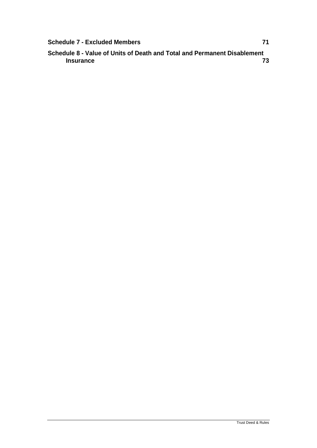| <b>Schedule 7 - Excluded Members</b> |  |
|--------------------------------------|--|
|                                      |  |

**Schedule 8 - Value of Units of Death and Total and Permanent Disablement Insurance 73**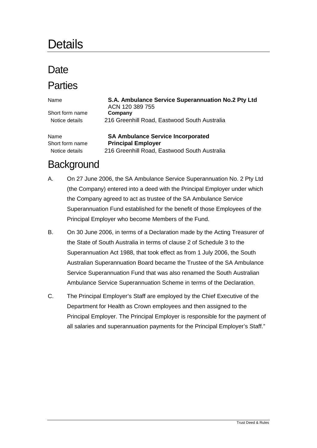### **Details**

### Date

### **Parties**

| Name            | S.A. Ambulance Service Superannuation No.2 Pty Ltd<br>ACN 120 389 755 |
|-----------------|-----------------------------------------------------------------------|
| Short form name | Company                                                               |
| Notice details  | 216 Greenhill Road, Eastwood South Australia                          |
| Name            | <b>SA Ambulance Service Incorporated</b>                              |
| Short form name | <b>Principal Employer</b>                                             |
| Notice details  | 216 Greenhill Road, Eastwood South Australia                          |

### **Background**

- A. On 27 June 2006, the SA Ambulance Service Superannuation No. 2 Pty Ltd (the Company) entered into a deed with the Principal Employer under which the Company agreed to act as trustee of the SA Ambulance Service Superannuation Fund established for the benefit of those Employees of the Principal Employer who become Members of the Fund.
- B. On 30 June 2006, in terms of a Declaration made by the Acting Treasurer of the State of South Australia in terms of clause 2 of Schedule 3 to the Superannuation Act 1988, that took effect as from 1 July 2006, the South Australian Superannuation Board became the Trustee of the SA Ambulance Service Superannuation Fund that was also renamed the South Australian Ambulance Service Superannuation Scheme in terms of the Declaration.
- C. The Principal Employer's Staff are employed by the Chief Executive of the Department for Health as Crown employees and then assigned to the Principal Employer. The Principal Employer is responsible for the payment of all salaries and superannuation payments for the Principal Employer's Staff."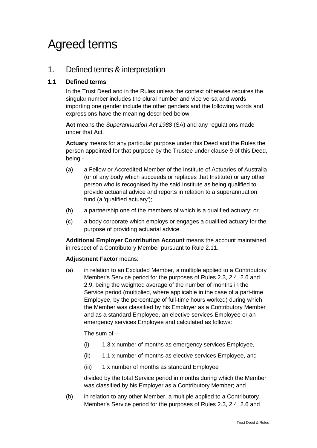### Agreed terms

#### 1. Defined terms & interpretation

#### **1.1 Defined terms**

In the Trust Deed and in the Rules unless the context otherwise requires the singular number includes the plural number and vice versa and words importing one gender include the other genders and the following words and expressions have the meaning described below:

**Act** means the *Superannuation Act 1988* (SA) and any regulations made under that Act.

**Actuary** means for any particular purpose under this Deed and the Rules the person appointed for that purpose by the Trustee under clause [9](#page-26-0) of this Deed, being -

- (a) a Fellow or Accredited Member of the Institute of Actuaries of Australia (or of any body which succeeds or replaces that Institute) or any other person who is recognised by the said Institute as being qualified to provide actuarial advice and reports in relation to a superannuation fund (a 'qualified actuary');
- (b) a partnership one of the members of which is a qualified actuary; or
- (c) a body corporate which employs or engages a qualified actuary for the purpose of providing actuarial advice.

**Additional Employer Contribution Account** means the account maintained in respect of a Contributory Member pursuant to Rule 2.11.

#### **Adjustment Factor** means:

(a) in relation to an Excluded Member, a multiple applied to a Contributory Member's Service period for the purposes of Rules 2.3, 2.4, 2.6 and 2.9, being the weighted average of the number of months in the Service period (multiplied, where applicable in the case of a part-time Employee, by the percentage of full-time hours worked) during which the Member was classified by his Employer as a Contributory Member and as a standard Employee, an elective services Employee or an emergency services Employee and calculated as follows:

The sum of –

- (i) 1.3 x number of months as emergency services Employee,
- (ii) 1.1 x number of months as elective services Employee, and
- (iii) 1 x number of months as standard Employee

divided by the total Service period in months during which the Member was classified by his Employer as a Contributory Member; and

(b) in relation to any other Member, a multiple applied to a Contributory Member's Service period for the purposes of Rules 2.3, 2.4, 2.6 and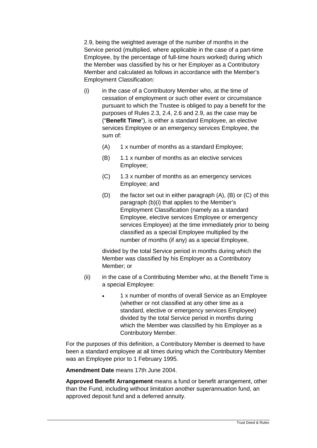2.9, being the weighted average of the number of months in the Service period (multiplied, where applicable in the case of a part-time Employee, by the percentage of full-time hours worked) during which the Member was classified by his or her Employer as a Contributory Member and calculated as follows in accordance with the Member's Employment Classification:

- $(i)$  in the case of a Contributory Member who, at the time of cessation of employment or such other event or circumstance pursuant to which the Trustee is obliged to pay a benefit for the purposes of Rules 2.3, 2.4, 2.6 and 2.9, as the case may be ("**Benefit Time**"), is either a standard Employee, an elective services Employee or an emergency services Employee, the sum of:
	- (A) 1 x number of months as a standard Employee;
	- (B) 1.1 x number of months as an elective services Employee;
	- (C) 1.3 x number of months as an emergency services Employee; and
	- (D) the factor set out in either paragraph (A), (B) or (C) of this paragraph (b)(i) that applies to the Member's Employment Classification (namely as a standard Employee, elective services Employee or emergency services Employee) at the time immediately prior to being classified as a special Employee multiplied by the number of months (if any) as a special Employee,

divided by the total Service period in months during which the Member was classified by his Employer as a Contributory Member; or

- (ii) in the case of a Contributing Member who, at the Benefit Time is a special Employee:
	- 1 x number of months of overall Service as an Employee (whether or not classified at any other time as a standard, elective or emergency services Employee) divided by the total Service period in months during which the Member was classified by his Employer as a Contributory Member.

For the purposes of this definition, a Contributory Member is deemed to have been a standard employee at all times during which the Contributory Member was an Employee prior to 1 February 1995.

**Amendment Date** means 17th June 2004.

**Approved Benefit Arrangement** means a fund or benefit arrangement, other than the Fund, including without limitation another superannuation fund, an approved deposit fund and a deferred annuity.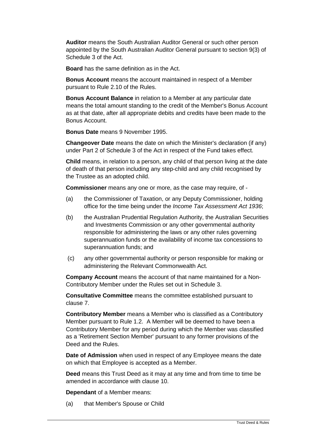**Auditor** means the South Australian Auditor General or such other person appointed by the South Australian Auditor General pursuant to section 9(3) of Schedule 3 of the Act.

**Board** has the same definition as in the Act.

**Bonus Account** means the account maintained in respect of a Member pursuant to Rule 2.10 of the Rules.

**Bonus Account Balance** in relation to a Member at any particular date means the total amount standing to the credit of the Member's Bonus Account as at that date, after all appropriate debits and credits have been made to the Bonus Account.

**Bonus Date** means 9 November 1995.

**Changeover Date** means the date on which the Minister's declaration (if any) under Part 2 of Schedule 3 of the Act in respect of the Fund takes effect.

**Child** means, in relation to a person, any child of that person living at the date of death of that person including any step-child and any child recognised by the Trustee as an adopted child.

**Commissioner** means any one or more, as the case may require, of -

- (a) the Commissioner of Taxation, or any Deputy Commissioner, holding office for the time being under the *Income Tax Assessment Act 1936*;
- (b) the Australian Prudential Regulation Authority, the Australian Securities and Investments Commission or any other governmental authority responsible for administering the laws or any other rules governing superannuation funds or the availability of income tax concessions to superannuation funds; and
- (c) any other governmental authority or person responsible for making or administering the Relevant Commonwealth Act.

**Company Account** means the account of that name maintained for a Non-Contributory Member under the Rules set out in Schedule 3.

**Consultative Committee** means the committee established pursuant to clause [7.](#page-23-0)

**Contributory Member** means a Member who is classified as a Contributory Member pursuant to Rule 1.2. A Member will be deemed to have been a Contributory Member for any period during which the Member was classified as a 'Retirement Section Member' pursuant to any former provisions of the Deed and the Rules.

**Date of Admission** when used in respect of any Employee means the date on which that Employee is accepted as a Member.

**Deed** means this Trust Deed as it may at any time and from time to time be amended in accordance with clause [10.](#page-27-0)

**Dependant** of a Member means:

(a) that Member's Spouse or Child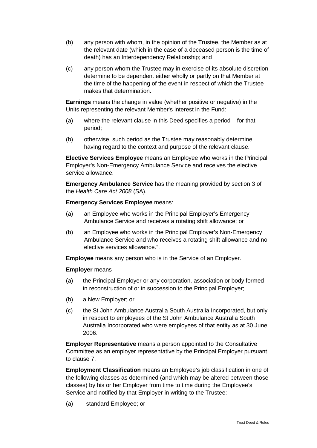- (b) any person with whom, in the opinion of the Trustee, the Member as at the relevant date (which in the case of a deceased person is the time of death) has an Interdependency Relationship; and
- (c) any person whom the Trustee may in exercise of its absolute discretion determine to be dependent either wholly or partly on that Member at the time of the happening of the event in respect of which the Trustee makes that determination.

**Earnings** means the change in value (whether positive or negative) in the Units representing the relevant Member's interest in the Fund:

- (a) where the relevant clause in this Deed specifies a period for that period;
- (b) otherwise, such period as the Trustee may reasonably determine having regard to the context and purpose of the relevant clause.

**Elective Services Employee** means an Employee who works in the Principal Employer's Non-Emergency Ambulance Service and receives the elective service allowance.

**Emergency Ambulance Service** has the meaning provided by section 3 of the *Health Care Act 2008* (SA).

#### **Emergency Services Employee** means:

- (a) an Employee who works in the Principal Employer's Emergency Ambulance Service and receives a rotating shift allowance; or
- (b) an Employee who works in the Principal Employer's Non-Emergency Ambulance Service and who receives a rotating shift allowance and no elective services allowance.".

**Employee** means any person who is in the Service of an Employer.

#### **Employer** means

- (a) the Principal Employer or any corporation, association or body formed in reconstruction of or in succession to the Principal Employer;
- (b) a New Employer; or
- (c) the St John Ambulance Australia South Australia Incorporated, but only in respect to employees of the St John Ambulance Australia South Australia Incorporated who were employees of that entity as at 30 June 2006.

**Employer Representative** means a person appointed to the Consultative Committee as an employer representative by the Principal Employer pursuant to clause [7.](#page-23-0)

**Employment Classification** means an Employee's job classification in one of the following classes as determined (and which may be altered between those classes) by his or her Employer from time to time during the Employee's Service and notified by that Employer in writing to the Trustee:

(a) standard Employee; or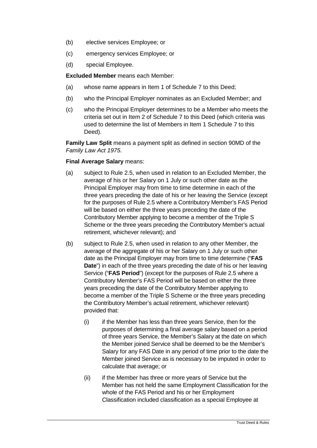- (b) elective services Employee; or
- (c) emergency services Employee; or
- (d) special Employee.

**Excluded Member** means each Member:

- (a) whose name appears in Item 1 of Schedule 7 to this Deed;
- (b) who the Principal Employer nominates as an Excluded Member; and
- (c) who the Principal Employer determines to be a Member who meets the criteria set out in Item 2 of Schedule 7 to this Deed (which criteria was used to determine the list of Members in Item 1 Schedule 7 to this Deed).

**Family Law Split** means a payment split as defined in section 90MD of the *Family Law Act 1975*.

#### **Final Average Salary** means:

- (a) subject to Rule 2.5, when used in relation to an Excluded Member, the average of his or her Salary on 1 July or such other date as the Principal Employer may from time to time determine in each of the three years preceding the date of his or her leaving the Service (except for the purposes of Rule 2.5 where a Contributory Member's FAS Period will be based on either the three years preceding the date of the Contributory Member applying to become a member of the Triple S Scheme or the three years preceding the Contributory Member's actual retirement, whichever relevant); and
- (b) subject to Rule 2.5, when used in relation to any other Member, the average of the aggregate of his or her Salary on 1 July or such other date as the Principal Employer may from time to time determine ("**FAS Date**") in each of the three years preceding the date of his or her leaving Service ("**FAS Period**") (except for the purposes of Rule 2.5 where a Contributory Member's FAS Period will be based on either the three years preceding the date of the Contributory Member applying to become a member of the Triple S Scheme or the three years preceding the Contributory Member's actual retirement, whichever relevant) provided that:
	- (i) if the Member has less than three years Service, then for the purposes of determining a final average salary based on a period of three years Service, the Member's Salary at the date on which the Member joined Service shall be deemed to be the Member's Salary for any FAS Date in any period of time prior to the date the Member joined Service as is necessary to be imputed in order to calculate that average; or
	- (ii) if the Member has three or more years of Service but the Member has not held the same Employment Classification for the whole of the FAS Period and his or her Employment Classification included classification as a special Employee at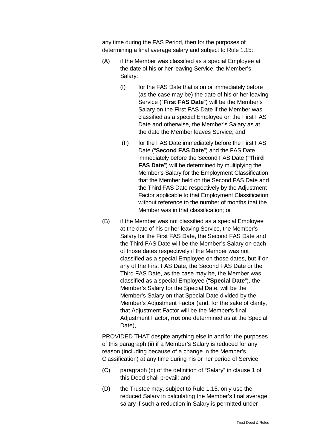any time during the FAS Period, then for the purposes of determining a final average salary and subject to Rule 1.15:

- (A) if the Member was classified as a special Employee at the date of his or her leaving Service, the Member's Salary:
	- (I) for the FAS Date that is on or immediately before (as the case may be) the date of his or her leaving Service ("**First FAS Date**") will be the Member's Salary on the First FAS Date if the Member was classified as a special Employee on the First FAS Date and otherwise, the Member's Salary as at the date the Member leaves Service; and
	- (II) for the FAS Date immediately before the First FAS Date ("**Second FAS Date**") and the FAS Date immediately before the Second FAS Date ("**Third FAS Date**") will be determined by multiplying the Member's Salary for the Employment Classification that the Member held on the Second FAS Date and the Third FAS Date respectively by the Adjustment Factor applicable to that Employment Classification without reference to the number of months that the Member was in that classification; or
- (B) if the Member was not classified as a special Employee at the date of his or her leaving Service, the Member's Salary for the First FAS Date, the Second FAS Date and the Third FAS Date will be the Member's Salary on each of those dates respectively if the Member was not classified as a special Employee on those dates, but if on any of the First FAS Date, the Second FAS Date or the Third FAS Date, as the case may be, the Member was classified as a special Employee ("**Special Date**"), the Member's Salary for the Special Date, will be the Member's Salary on that Special Date divided by the Member's Adjustment Factor (and, for the sake of clarity, that Adjustment Factor will be the Member's final Adjustment Factor, **not** one determined as at the Special Date),

PROVIDED THAT despite anything else in and for the purposes of this paragraph (ii) if a Member's Salary is reduced for any reason (including because of a change in the Member's Classification) at any time during his or her period of Service:

- (C) paragraph (c) of the definition of "Salary" in clause 1 of this Deed shall prevail; and
- (D) the Trustee may, subject to Rule 1.15, only use the reduced Salary in calculating the Member's final average salary if such a reduction in Salary is permitted under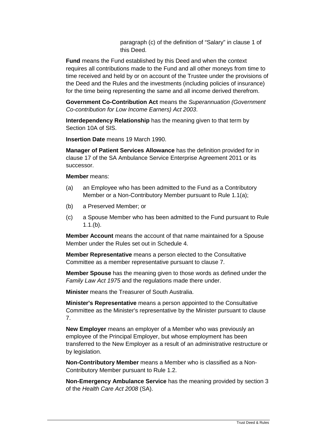paragraph (c) of the definition of "Salary" in clause 1 of this Deed.

**Fund** means the Fund established by this Deed and when the context requires all contributions made to the Fund and all other moneys from time to time received and held by or on account of the Trustee under the provisions of the Deed and the Rules and the investments (including policies of insurance) for the time being representing the same and all income derived therefrom.

**Government Co-Contribution Act** means the *Superannuation (Government Co-contribution for Low Income Earners) Act 2003*.

**Interdependency Relationship** has the meaning given to that term by Section 10A of SIS.

**Insertion Date** means 19 March 1990.

**Manager of Patient Services Allowance** has the definition provided for in clause 17 of the SA Ambulance Service Enterprise Agreement 2011 or its successor.

**Member** means:

- (a) an Employee who has been admitted to the Fund as a Contributory Member or a Non-Contributory Member pursuant to Rule 1.1(a);
- (b) a Preserved Member; or
- (c) a Spouse Member who has been admitted to the Fund pursuant to Rule 1.1.(b).

**Member Account** means the account of that name maintained for a Spouse Member under the Rules set out in Schedule 4.

**Member Representative** means a person elected to the Consultative Committee as a member representative pursuant to clause [7.](#page-23-0)

**Member Spouse** has the meaning given to those words as defined under the *Family Law Act 1975* and the regulations made there under.

**Minister** means the Treasurer of South Australia.

**Minister's Representative** means a person appointed to the Consultative Committee as the Minister's representative by the Minister pursuant to clause [7.](#page-23-0)

**New Employer** means an employer of a Member who was previously an employee of the Principal Employer, but whose employment has been transferred to the New Employer as a result of an administrative restructure or by legislation.

**Non-Contributory Member** means a Member who is classified as a Non-Contributory Member pursuant to Rule 1.2.

**Non-Emergency Ambulance Service** has the meaning provided by section 3 of the *Health Care Act 2008* (SA).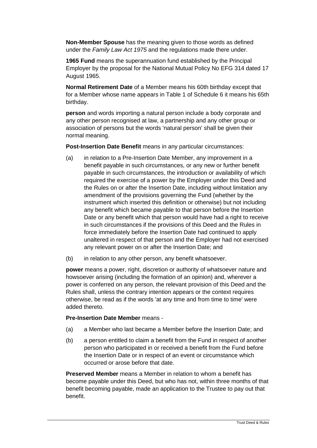**Non-Member Spouse** has the meaning given to those words as defined under the *Family Law Act 1975* and the regulations made there under.

**1965 Fund** means the superannuation fund established by the Principal Employer by the proposal for the National Mutual Policy No EFG 314 dated 17 August 1965.

**Normal Retirement Date** of a Member means his 60th birthday except that for a Member whose name appears in Table 1 of Schedule 6 it means his 65th birthday.

**person** and words importing a natural person include a body corporate and any other person recognised at law, a partnership and any other group or association of persons but the words 'natural person' shall be given their normal meaning.

**Post-Insertion Date Benefit** means in any particular circumstances:

- (a) in relation to a Pre-Insertion Date Member, any improvement in a benefit payable in such circumstances, or any new or further benefit payable in such circumstances, the introduction or availability of which required the exercise of a power by the Employer under this Deed and the Rules on or after the Insertion Date, including without limitation any amendment of the provisions governing the Fund (whether by the instrument which inserted this definition or otherwise) but not including any benefit which became payable to that person before the Insertion Date or any benefit which that person would have had a right to receive in such circumstances if the provisions of this Deed and the Rules in force immediately before the Insertion Date had continued to apply unaltered in respect of that person and the Employer had not exercised any relevant power on or after the Insertion Date; and
- (b) in relation to any other person, any benefit whatsoever.

**power** means a power, right, discretion or authority of whatsoever nature and howsoever arising (including the formation of an opinion) and, wherever a power is conferred on any person, the relevant provision of this Deed and the Rules shall, unless the contrary intention appears or the context requires otherwise, be read as if the words 'at any time and from time to time' were added thereto.

#### **Pre-Insertion Date Member** means -

- (a) a Member who last became a Member before the Insertion Date; and
- (b) a person entitled to claim a benefit from the Fund in respect of another person who participated in or received a benefit from the Fund before the Insertion Date or in respect of an event or circumstance which occurred or arose before that date.

**Preserved Member** means a Member in relation to whom a benefit has become payable under this Deed, but who has not, within three months of that benefit becoming payable, made an application to the Trustee to pay out that benefit.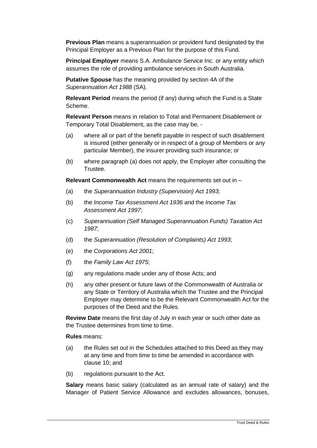**Previous Plan** means a superannuation or provident fund designated by the Principal Employer as a Previous Plan for the purpose of this Fund.

**Principal Employer** means S.A. Ambulance Service Inc. or any entity which assumes the role of providing ambulance services in South Australia.

**Putative Spouse** has the meaning provided by section 4A of the *Superannuation Act 1988* (SA).

**Relevant Period** means the period (if any) during which the Fund is a State Scheme.

**Relevant Person** means in relation to Total and Permanent Disablement or Temporary Total Disablement, as the case may be, -

- (a) where all or part of the benefit payable in respect of such disablement is insured (either generally or in respect of a group of Members or any particular Member), the insurer providing such insurance; or
- (b) where paragraph (a) does not apply, the Employer after consulting the Trustee.

**Relevant Commonwealth Act** means the requirements set out in –

- (a) the *Superannuation Industry (Supervision) Act 1993*;
- (b) the *Income Tax Assessment Act 1936* and the *Income Tax Assessment Act 1997*;
- (c) *Superannuation (Self Managed Superannuation Funds) Taxation Act 1987*;
- (d) the *Superannuation (Resolution of Complaints) Act 1993*;
- (e) the *Corporations Act 2001*;
- (f) the *Family Law Act 1975*;
- (g) any regulations made under any of those Acts; and
- (h) any other present or future laws of the Commonwealth of Australia or any State or Territory of Australia which the Trustee and the Principal Employer may determine to be the Relevant Commonwealth Act for the purposes of the Deed and the Rules.

**Review Date** means the first day of July in each year or such other date as the Trustee determines from time to time.

**Rules** means:

- (a) the Rules set out in the Schedules attached to this Deed as they may at any time and from time to time be amended in accordance with clause [10;](#page-27-0) and
- (b) regulations pursuant to the Act.

**Salary** means basic salary (calculated as an annual rate of salary) and the Manager of Patient Service Allowance and excludes allowances, bonuses,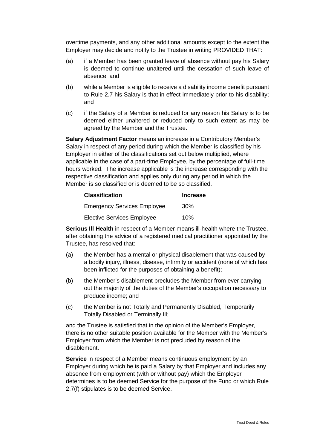overtime payments, and any other additional amounts except to the extent the Employer may decide and notify to the Trustee in writing PROVIDED THAT:

- (a) if a Member has been granted leave of absence without pay his Salary is deemed to continue unaltered until the cessation of such leave of absence; and
- (b) while a Member is eligible to receive a disability income benefit pursuant to Rule 2.7 his Salary is that in effect immediately prior to his disability; and
- (c) if the Salary of a Member is reduced for any reason his Salary is to be deemed either unaltered or reduced only to such extent as may be agreed by the Member and the Trustee.

**Salary Adjustment Factor** means an increase in a Contributory Member's Salary in respect of any period during which the Member is classified by his Employer in either of the classifications set out below multiplied, where applicable in the case of a part-time Employee, by the percentage of full-time hours worked. The increase applicable is the increase corresponding with the respective classification and applies only during any period in which the Member is so classified or is deemed to be so classified.

| <b>Classification</b>              | <b>Increase</b> |
|------------------------------------|-----------------|
| <b>Emergency Services Employee</b> | 30%             |
| <b>Elective Services Employee</b>  | 10%             |

**Serious Ill Health** in respect of a Member means ill-health where the Trustee, after obtaining the advice of a registered medical practitioner appointed by the Trustee, has resolved that:

- (a) the Member has a mental or physical disablement that was caused by a bodily injury, illness, disease, infirmity or accident (none of which has been inflicted for the purposes of obtaining a benefit);
- (b) the Member's disablement precludes the Member from ever carrying out the majority of the duties of the Member's occupation necessary to produce income; and
- (c) the Member is not Totally and Permanently Disabled, Temporarily Totally Disabled or Terminally Ill;

and the Trustee is satisfied that in the opinion of the Member's Employer, there is no other suitable position available for the Member with the Member's Employer from which the Member is not precluded by reason of the disablement.

**Service** in respect of a Member means continuous employment by an Employer during which he is paid a Salary by that Employer and includes any absence from employment (with or without pay) which the Employer determines is to be deemed Service for the purpose of the Fund or which Rule 2.7(f) stipulates is to be deemed Service.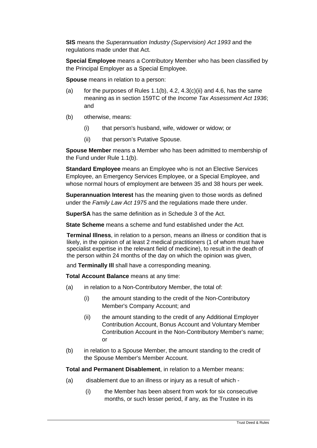**SIS** means the *Superannuation Industry (Supervision) Act 1993* and the regulations made under that Act.

**Special Employee** means a Contributory Member who has been classified by the Principal Employer as a Special Employee.

**Spouse** means in relation to a person:

- (a) for the purposes of Rules 1.1(b),  $4.2$ ,  $4.3(c)(ii)$  and  $4.6$ , has the same meaning as in section 159TC of the *Income Tax Assessment Act 1936*; and
- (b) otherwise, means:
	- (i) that person's husband, wife, widower or widow; or
	- (ii) that person's Putative Spouse.

**Spouse Member** means a Member who has been admitted to membership of the Fund under Rule 1.1(b).

**Standard Employee** means an Employee who is not an Elective Services Employee, an Emergency Services Employee, or a Special Employee, and whose normal hours of employment are between 35 and 38 hours per week.

**Superannuation Interest** has the meaning given to those words as defined under the *Family Law Act 1975* and the regulations made there under.

**SuperSA** has the same definition as in Schedule 3 of the Act.

**State Scheme** means a scheme and fund established under the Act.

**Terminal Illness**, in relation to a person, means an illness or condition that is likely, in the opinion of at least 2 medical practitioners (1 of whom must have specialist expertise in the relevant field of medicine), to result in the death of the person within 24 months of the day on which the opinion was given,

and **Terminally Ill** shall have a corresponding meaning.

**Total Account Balance** means at any time:

- (a) in relation to a Non-Contributory Member, the total of:
	- (i) the amount standing to the credit of the Non-Contributory Member's Company Account; and
	- (ii) the amount standing to the credit of any Additional Employer Contribution Account, Bonus Account and Voluntary Member Contribution Account in the Non-Contributory Member's name; or
- (b) in relation to a Spouse Member, the amount standing to the credit of the Spouse Member's Member Account.

**Total and Permanent Disablement**, in relation to a Member means:

- (a) disablement due to an illness or injury as a result of which
	- (i) the Member has been absent from work for six consecutive months, or such lesser period, if any, as the Trustee in its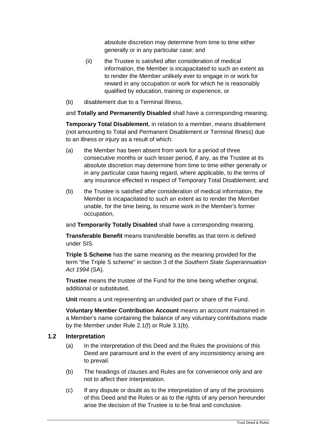absolute discretion may determine from time to time either generally or in any particular case; and

- (ii) the Trustee is satisfied after consideration of medical information, the Member is incapacitated to such an extent as to render the Member unlikely ever to engage in or work for reward in any occupation or work for which he is reasonably qualified by education, training or experience, or
- (b) disablement due to a Terminal Illness,

and **Totally and Permanently Disabled** shall have a corresponding meaning.

**Temporary Total Disablement**, in relation to a member, means disablement (not amounting to Total and Permanent Disablement or Terminal Illness) due to an illness or injury as a result of which:

- (a) the Member has been absent from work for a period of three consecutive months or such lesser period, if any, as the Trustee at its absolute discretion may determine from time to time either generally or in any particular case having regard, where applicable, to the terms of any insurance effected in respect of Temporary Total Disablement; and
- (b) the Trustee is satisfied after consideration of medical information, the Member is incapacitated to such an extent as to render the Member unable, for the time being, to resume work in the Member's former occupation,

and **Temporarily Totally Disabled** shall have a corresponding meaning.

**Transferable Benefit** means transferable benefits as that term is defined under SIS.

**Triple S Scheme** has the same meaning as the meaning provided for the term "the Triple S scheme" in section 3 of the *Southern State Superannuation Act 1994* (SA).

**Trustee** means the trustee of the Fund for the time being whether original, additional or substituted.

**Unit** means a unit representing an undivided part or share of the Fund.

**Voluntary Member Contribution Account** means an account maintained in a Member's name containing the balance of any voluntary contributions made by the Member under Rule 2.1(f) or Rule 3.1(b).

#### **1.2 Interpretation**

- (a) In the interpretation of this Deed and the Rules the provisions of this Deed are paramount and in the event of any inconsistency arising are to prevail.
- (b) The headings of clauses and Rules are for convenience only and are not to affect their interpretation.
- (c) If any dispute or doubt as to the interpretation of any of the provisions of this Deed and the Rules or as to the rights of any person hereunder arise the decision of the Trustee is to be final and conclusive.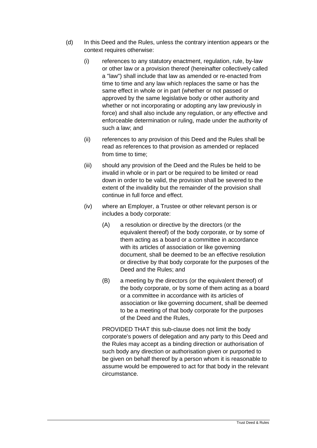- (d) In this Deed and the Rules, unless the contrary intention appears or the context requires otherwise:
	- (i) references to any statutory enactment, regulation, rule, by-law or other law or a provision thereof (hereinafter collectively called a "law") shall include that law as amended or re-enacted from time to time and any law which replaces the same or has the same effect in whole or in part (whether or not passed or approved by the same legislative body or other authority and whether or not incorporating or adopting any law previously in force) and shall also include any regulation, or any effective and enforceable determination or ruling, made under the authority of such a law; and
	- (ii) references to any provision of this Deed and the Rules shall be read as references to that provision as amended or replaced from time to time;
	- (iii) should any provision of the Deed and the Rules be held to be invalid in whole or in part or be required to be limited or read down in order to be valid, the provision shall be severed to the extent of the invalidity but the remainder of the provision shall continue in full force and effect.
	- (iv) where an Employer, a Trustee or other relevant person is or includes a body corporate:
		- (A) a resolution or directive by the directors (or the equivalent thereof) of the body corporate, or by some of them acting as a board or a committee in accordance with its articles of association or like governing document, shall be deemed to be an effective resolution or directive by that body corporate for the purposes of the Deed and the Rules; and
		- (B) a meeting by the directors (or the equivalent thereof) of the body corporate, or by some of them acting as a board or a committee in accordance with its articles of association or like governing document, shall be deemed to be a meeting of that body corporate for the purposes of the Deed and the Rules,

PROVIDED THAT this sub-clause does not limit the body corporate's powers of delegation and any party to this Deed and the Rules may accept as a binding direction or authorisation of such body any direction or authorisation given or purported to be given on behalf thereof by a person whom it is reasonable to assume would be empowered to act for that body in the relevant circumstance.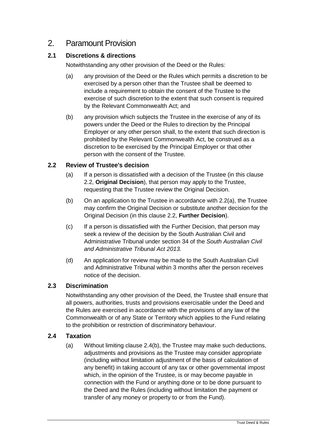#### 2. Paramount Provision

#### **2.1 Discretions & directions**

Notwithstanding any other provision of the Deed or the Rules:

- (a) any provision of the Deed or the Rules which permits a discretion to be exercised by a person other than the Trustee shall be deemed to include a requirement to obtain the consent of the Trustee to the exercise of such discretion to the extent that such consent is required by the Relevant Commonwealth Act; and
- (b) any provision which subjects the Trustee in the exercise of any of its powers under the Deed or the Rules to direction by the Principal Employer or any other person shall, to the extent that such direction is prohibited by the Relevant Commonwealth Act, be construed as a discretion to be exercised by the Principal Employer or that other person with the consent of the Trustee.

#### <span id="page-18-1"></span><span id="page-18-0"></span>**2.2 Review of Trustee's decision**

- (a) If a person is dissatisfied with a decision of the Trustee (in this clause [2.2,](#page-18-0) **Original Decision**), that person may apply to the Trustee, requesting that the Trustee review the Original Decision.
- (b) On an application to the Trustee in accordance with [2.2\(a\),](#page-18-1) the Trustee may confirm the Original Decision or substitute another decision for the Original Decision (in this clause [2.2,](#page-18-0) **Further Decision**).
- (c) If a person is dissatisfied with the Further Decision, that person may seek a review of the decision by the South Australian Civil and Administrative Tribunal under section 34 of the *South Australian Civil and Administrative Tribunal Act 2013.*
- (d) An application for review may be made to the South Australian Civil and Administrative Tribunal within 3 months after the person receives notice of the decision.

#### **2.3 Discrimination**

Notwithstanding any other provision of the Deed, the Trustee shall ensure that all powers, authorities, trusts and provisions exercisable under the Deed and the Rules are exercised in accordance with the provisions of any law of the Commonwealth or of any State or Territory which applies to the Fund relating to the prohibition or restriction of discriminatory behaviour.

#### **2.4 Taxation**

(a) Without limiting clause [2.4\(b\),](#page-19-0) the Trustee may make such deductions, adjustments and provisions as the Trustee may consider appropriate (including without limitation adjustment of the basis of calculation of any benefit) in taking account of any tax or other governmental impost which, in the opinion of the Trustee, is or may become payable in connection with the Fund or anything done or to be done pursuant to the Deed and the Rules (including without limitation the payment or transfer of any money or property to or from the Fund).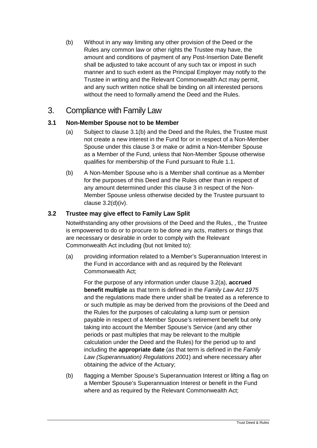<span id="page-19-0"></span>(b) Without in any way limiting any other provision of the Deed or the Rules any common law or other rights the Trustee may have, the amount and conditions of payment of any Post-Insertion Date Benefit shall be adjusted to take account of any such tax or impost in such manner and to such extent as the Principal Employer may notify to the Trustee in writing and the Relevant Commonwealth Act may permit, and any such written notice shall be binding on all interested persons without the need to formally amend the Deed and the Rules.

#### <span id="page-19-2"></span>3. Compliance with Family Law

#### **3.1 Non-Member Spouse not to be Member**

- (a) Subject to clause [3.1\(b\)](#page-19-1) and the Deed and the Rules, the Trustee must not create a new interest in the Fund for or in respect of a Non-Member Spouse under this clause [3](#page-19-2) or make or admit a Non-Member Spouse as a Member of the Fund, unless that Non-Member Spouse otherwise qualifies for membership of the Fund pursuant to Rule 1.1.
- <span id="page-19-1"></span>(b) A Non-Member Spouse who is a Member shall continue as a Member for the purposes of this Deed and the Rules other than in respect of any amount determined under this clause [3](#page-19-2) in respect of the Non-Member Spouse unless otherwise decided by the Trustee pursuant to clause [3.2\(d\)\(iv\).](#page-20-0)

#### **3.2 Trustee may give effect to Family Law Split**

Notwithstanding any other provisions of the Deed and the Rules, , the Trustee is empowered to do or to procure to be done any acts, matters or things that are necessary or desirable in order to comply with the Relevant Commonwealth Act including (but not limited to):

<span id="page-19-3"></span>(a) providing information related to a Member's Superannuation Interest in the Fund in accordance with and as required by the Relevant Commonwealth Act;

For the purpose of any information under clause [3.2\(a\),](#page-19-3) **accrued benefit multiple** as that term is defined in the *Family Law Act 1975*  and the regulations made there under shall be treated as a reference to or such multiple as may be derived from the provisions of the Deed and the Rules for the purposes of calculating a lump sum or pension payable in respect of a Member Spouse's retirement benefit but only taking into account the Member Spouse's Service (and any other periods or past multiples that may be relevant to the multiple calculation under the Deed and the Rules) for the period up to and including the **appropriate date** (as that term is defined in the *Family Law (Superannuation) Regulations 2001*) and where necessary after obtaining the advice of the Actuary;

(b) flagging a Member Spouse's Superannuation Interest or lifting a flag on a Member Spouse's Superannuation Interest or benefit in the Fund where and as required by the Relevant Commonwealth Act;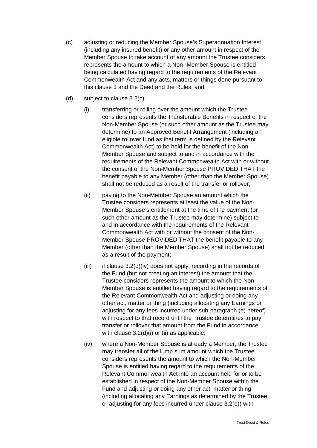- <span id="page-20-1"></span>(c) adjusting or reducing the Member Spouse's Superannuation Interest (including any insured benefit) or any other amount in respect of the Member Spouse to take account of any amount the Trustee considers represents the amount to which a Non- Member Spouse is entitled being calculated having regard to the requirements of the Relevant Commonwealth Act and any acts, matters or things done pursuant to this clause [3](#page-19-2) and the Deed and the Rules; and
- <span id="page-20-3"></span><span id="page-20-2"></span><span id="page-20-0"></span>(d) subject to clause [3.2\(c\):](#page-20-1)
	- (i) transferring or rolling over the amount which the Trustee considers represents the Transferable Benefits in respect of the Non-Member Spouse (or such other amount as the Trustee may determine) to an Approved Benefit Arrangement (including an eligible rollover fund as that term is defined by the Relevant Commonwealth Act) to be held for the benefit of the Non-Member Spouse and subject to and in accordance with the requirements of the Relevant Commonwealth Act with or without the consent of the Non-Member Spouse PROVIDED THAT the benefit payable to any Member (other than the Member Spouse) shall not be reduced as a result of the transfer or rollover;
	- (ii) paying to the Non-Member Spouse an amount which the Trustee considers represents at least the value of the Non-Member Spouse's entitlement at the time of the payment (or such other amount as the Trustee may determine) subject to and in accordance with the requirements of the Relevant Commonwealth Act with or without the consent of the Non-Member Spouse PROVIDED THAT the benefit payable to any Member (other than the Member Spouse) shall not be reduced as a result of the payment;
	- (iii) if clause  $3.2(d)$ (iv) does not apply, recording in the records of the Fund (but not creating an interest) the amount that the Trustee considers represents the amount to which the Non-Member Spouse is entitled having regard to the requirements of the Relevant Commonwealth Act and adjusting or doing any other act, matter or thing (including allocating any Earnings or adjusting for any fees incurred under sub-paragraph (e) hereof) with respect to that record until the Trustee determines to pay. transfer or rollover that amount from the Fund in accordance with clause [3.2\(d\)\(i\)](#page-20-2) or [\(ii\)](#page-20-3) as applicable;
	- (iv) where a Non-Member Spouse is already a Member, the Trustee may transfer all of the lump sum amount which the Trustee considers represents the amount to which the Non-Member Spouse is entitled having regard to the requirements of the Relevant Commonwealth Act into an account held for or to be established in respect of the Non-Member Spouse within the Fund and adjusting or doing any other act, matter or thing (including allocating any Earnings as determined by the Trustee or adjusting for any fees incurred under clause [3.2\(e\)\)](#page-21-0) with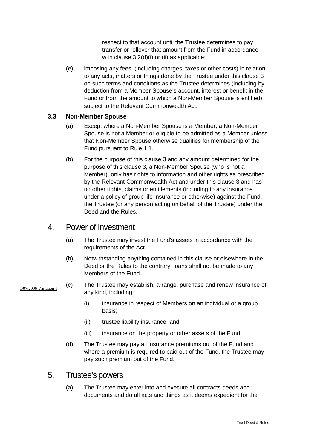respect to that account until the Trustee determines to pay, transfer or rollover that amount from the Fund in accordance with clause [3.2\(d\)\(i\)](#page-20-2) or [\(ii\)](#page-20-3) as applicable;

<span id="page-21-0"></span>(e) imposing any fees, (including charges, taxes or other costs) in relation to any acts, matters or things done by the Trustee under this clause [3](#page-19-2) on such terms and conditions as the Trustee determines (including by deduction from a Member Spouse's account, interest or benefit in the Fund or from the amount to which a Non-Member Spouse is entitled) subject to the Relevant Commonwealth Act.

#### **3.3 Non-Member Spouse**

- (a) Except where a Non-Member Spouse is a Member, a Non-Member Spouse is not a Member or eligible to be admitted as a Member unless that Non-Member Spouse otherwise qualifies for membership of the Fund pursuant to Rule 1.1.
- (b) For the purpose of this clause [3](#page-19-2) and any amount determined for the purpose of this clause [3,](#page-19-2) a Non-Member Spouse (who is not a Member), only has rights to information and other rights as prescribed by the Relevant Commonwealth Act and under this clause [3](#page-19-2) and has no other rights, claims or entitlements (including to any insurance under a policy of group life insurance or otherwise) against the Fund, the Trustee (or any person acting on behalf of the Trustee) under the Deed and the Rules.

#### 4. Power of Investment

- (a) The Trustee may invest the Fund's assets in accordance with the requirements of the Act.
- (b) Notwithstanding anything contained in this clause or elsewhere in the Deed or the Rules to the contrary, loans shall not be made to any Members of the Fund.

#### 1/07/2006 Variation 1

- (c) The Trustee may establish, arrange, purchase and renew insurance of any kind, including:
	- (i) insurance in respect of Members on an individual or a group basis;
	- (ii) trustee liability insurance; and
	- (iii) insurance on the property or other assets of the Fund.
- (d) The Trustee may pay all insurance premiums out of the Fund and where a premium is required to paid out of the Fund, the Trustee may pay such premium out of the Fund.

#### 5. Trustee's powers

(a) The Trustee may enter into and execute all contracts deeds and documents and do all acts and things as it deems expedient for the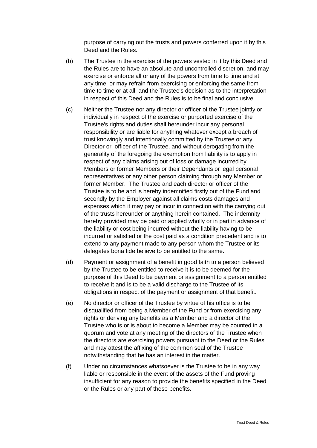purpose of carrying out the trusts and powers conferred upon it by this Deed and the Rules.

- (b) The Trustee in the exercise of the powers vested in it by this Deed and the Rules are to have an absolute and uncontrolled discretion, and may exercise or enforce all or any of the powers from time to time and at any time, or may refrain from exercising or enforcing the same from time to time or at all, and the Trustee's decision as to the interpretation in respect of this Deed and the Rules is to be final and conclusive.
- (c) Neither the Trustee nor any director or officer of the Trustee jointly or individually in respect of the exercise or purported exercise of the Trustee's rights and duties shall hereunder incur any personal responsibility or are liable for anything whatever except a breach of trust knowingly and intentionally committed by the Trustee or any Director or officer of the Trustee, and without derogating from the generality of the foregoing the exemption from liability is to apply in respect of any claims arising out of loss or damage incurred by Members or former Members or their Dependants or legal personal representatives or any other person claiming through any Member or former Member. The Trustee and each director or officer of the Trustee is to be and is hereby indemnified firstly out of the Fund and secondly by the Employer against all claims costs damages and expenses which it may pay or incur in connection with the carrying out of the trusts hereunder or anything herein contained. The indemnity hereby provided may be paid or applied wholly or in part in advance of the liability or cost being incurred without the liability having to be incurred or satisfied or the cost paid as a condition precedent and is to extend to any payment made to any person whom the Trustee or its delegates bona fide believe to be entitled to the same.
- (d) Payment or assignment of a benefit in good faith to a person believed by the Trustee to be entitled to receive it is to be deemed for the purpose of this Deed to be payment or assignment to a person entitled to receive it and is to be a valid discharge to the Trustee of its obligations in respect of the payment or assignment of that benefit.
- (e) No director or officer of the Trustee by virtue of his office is to be disqualified from being a Member of the Fund or from exercising any rights or deriving any benefits as a Member and a director of the Trustee who is or is about to become a Member may be counted in a quorum and vote at any meeting of the directors of the Trustee when the directors are exercising powers pursuant to the Deed or the Rules and may attest the affixing of the common seal of the Trustee notwithstanding that he has an interest in the matter.
- (f) Under no circumstances whatsoever is the Trustee to be in any way liable or responsible in the event of the assets of the Fund proving insufficient for any reason to provide the benefits specified in the Deed or the Rules or any part of these benefits.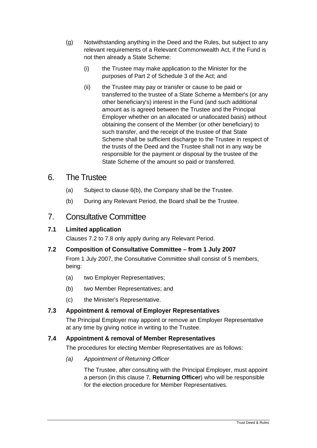- (g) Notwithstanding anything in the Deed and the Rules, but subject to any relevant requirements of a Relevant Commonwealth Act, if the Fund is not then already a State Scheme:
	- (i) the Trustee may make application to the Minister for the purposes of Part 2 of Schedule 3 of the Act; and
	- (ii) the Trustee may pay or transfer or cause to be paid or transferred to the trustee of a State Scheme a Member's (or any other beneficiary's) interest in the Fund (and such additional amount as is agreed between the Trustee and the Principal Employer whether on an allocated or unallocated basis) without obtaining the consent of the Member (or other beneficiary) to such transfer, and the receipt of the trustee of that State Scheme shall be sufficient discharge to the Trustee in respect of the trusts of the Deed and the Trustee shall not in any way be responsible for the payment or disposal by the trustee of the State Scheme of the amount so paid or transferred.

#### 6. The Trustee

- (a) Subject to clause [6\(b\),](#page-23-1) the Company shall be the Trustee.
- (b) During any Relevant Period, the Board shall be the Trustee.

#### <span id="page-23-1"></span><span id="page-23-0"></span>7. Consultative Committee

#### **7.1 Limited application**

Clauses 7.2 to 7.8 only apply during any Relevant Period.

**7.2 Composition of Consultative Committee – from 1 July 2007**

From 1 July 2007, the Consultative Committee shall consist of 5 members, being:

- (a) two Employer Representatives;
- (b) two Member Representatives; and
- (c) the Minister's Representative.

#### **7.3 Appointment & removal of Employer Representatives**

The Principal Employer may appoint or remove an Employer Representative at any time by giving notice in writing to the Trustee.

#### **7.4 Appointment & removal of Member Representatives**

The procedures for electing Member Representatives are as follows:

*(a) Appointment of Returning Officer*

The Trustee, after consulting with the Principal Employer, must appoint a person (in this clause [7,](#page-23-0) **Returning Officer**) who will be responsible for the election procedure for Member Representatives.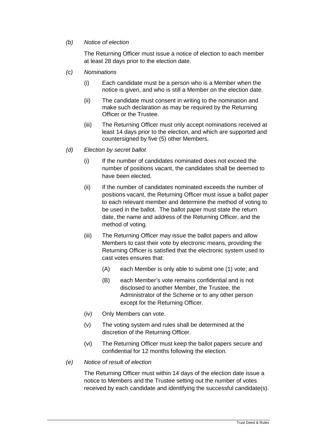#### *(b) Notice of election*

The Returning Officer must issue a notice of election to each member at least 28 days prior to the election date.

- *(c) Nominations*
	- (i) Each candidate must be a person who is a Member when the notice is given, and who is still a Member on the election date.
	- (ii) The candidate must consent in writing to the nomination and make such declaration as may be required by the Returning Officer or the Trustee.
	- (iii) The Returning Officer must only accept nominations received at least 14 days prior to the election, and which are supported and countersigned by five (5) other Members.
- *(d) Election by secret ballot*
	- (i) If the number of candidates nominated does not exceed the number of positions vacant, the candidates shall be deemed to have been elected.
	- (ii) If the number of candidates nominated exceeds the number of positions vacant, the Returning Officer must issue a ballot paper to each relevant member and determine the method of voting to be used in the ballot. The ballot paper must state the return date, the name and address of the Returning Officer, and the method of voting.
	- (iii) The Returning Officer may issue the ballot papers and allow Members to cast their vote by electronic means, providing the Returning Officer is satisfied that the electronic system used to cast votes ensures that:
		- (A) each Member is only able to submit one (1) vote; and
		- (B) each Member's vote remains confidential and is not disclosed to another Member, the Trustee, the Administrator of the Scheme or to any other person except for the Returning Officer.
	- (iv) Only Members can vote.
	- (v) The voting system and rules shall be determined at the discretion of the Returning Officer.
	- (vi) The Returning Officer must keep the ballot papers secure and confidential for 12 months following the election.
- *(e) Notice of result of election*

The Returning Officer must within 14 days of the election date issue a notice to Members and the Trustee setting out the number of votes received by each candidate and identifying the successful candidate(s).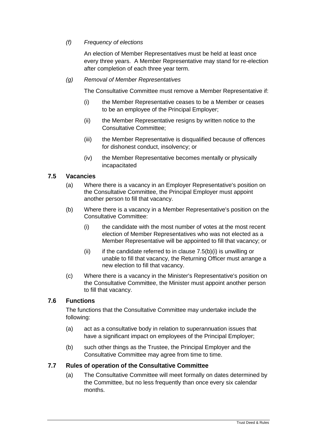#### *(f) Frequency of elections*

An election of Member Representatives must be held at least once every three years. A Member Representative may stand for re-election after completion of each three year term.

#### *(g) Removal of Member Representatives*

The Consultative Committee must remove a Member Representative if:

- (i) the Member Representative ceases to be a Member or ceases to be an employee of the Principal Employer;
- (ii) the Member Representative resigns by written notice to the Consultative Committee;
- (iii) the Member Representative is disqualified because of offences for dishonest conduct, insolvency; or
- (iv) the Member Representative becomes mentally or physically incapacitated

#### **7.5 Vacancies**

- (a) Where there is a vacancy in an Employer Representative's position on the Consultative Committee, the Principal Employer must appoint another person to fill that vacancy.
- <span id="page-25-0"></span>(b) Where there is a vacancy in a Member Representative's position on the Consultative Committee:
	- (i) the candidate with the most number of votes at the most recent election of Member Representatives who was not elected as a Member Representative will be appointed to fill that vacancy; or
	- (ii) if the candidate referred to in clause  $7.5(b)(i)$  is unwilling or unable to fill that vacancy, the Returning Officer must arrange a new election to fill that vacancy.
- (c) Where there is a vacancy in the Minister's Representative's position on the Consultative Committee, the Minister must appoint another person to fill that vacancy.

#### **7.6 Functions**

The functions that the Consultative Committee may undertake include the following:

- (a) act as a consultative body in relation to superannuation issues that have a significant impact on employees of the Principal Employer;
- (b) such other things as the Trustee, the Principal Employer and the Consultative Committee may agree from time to time.

#### **7.7 Rules of operation of the Consultative Committee**

(a) The Consultative Committee will meet formally on dates determined by the Committee, but no less frequently than once every six calendar months.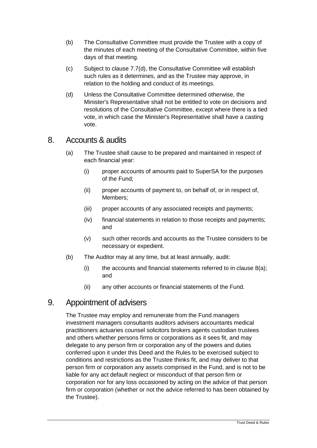- (b) The Consultative Committee must provide the Trustee with a copy of the minutes of each meeting of the Consultative Committee, within five days of that meeting.
- (c) Subject to clause [7.7\(d\),](#page-26-1) the Consultative Committee will establish such rules as it determines, and as the Trustee may approve, in relation to the holding and conduct of its meetings.
- <span id="page-26-1"></span>(d) Unless the Consultative Committee determined otherwise, the Minister's Representative shall not be entitled to vote on decisions and resolutions of the Consultative Committee, except where there is a tied vote, in which case the Minister's Representative shall have a casting vote.

#### <span id="page-26-2"></span>8. Accounts & audits

- (a) The Trustee shall cause to be prepared and maintained in respect of each financial year:
	- (i) proper accounts of amounts paid to SuperSA for the purposes of the Fund;
	- (ii) proper accounts of payment to, on behalf of, or in respect of, Members;
	- (iii) proper accounts of any associated receipts and payments;
	- (iv) financial statements in relation to those receipts and payments; and
	- (v) such other records and accounts as the Trustee considers to be necessary or expedient.
- (b) The Auditor may at any time, but at least annually, audit:
	- $(i)$  the accounts and financial statements referred to in clause  $8(a)$ ; and
	- (ii) any other accounts or financial statements of the Fund.

#### <span id="page-26-0"></span>9. Appointment of advisers

The Trustee may employ and remunerate from the Fund managers investment managers consultants auditors advisers accountants medical practitioners actuaries counsel solicitors brokers agents custodian trustees and others whether persons firms or corporations as it sees fit, and may delegate to any person firm or corporation any of the powers and duties conferred upon it under this Deed and the Rules to be exercised subject to conditions and restrictions as the Trustee thinks fit, and may deliver to that person firm or corporation any assets comprised in the Fund, and is not to be liable for any act default neglect or misconduct of that person firm or corporation nor for any loss occasioned by acting on the advice of that person firm or corporation (whether or not the advice referred to has been obtained by the Trustee).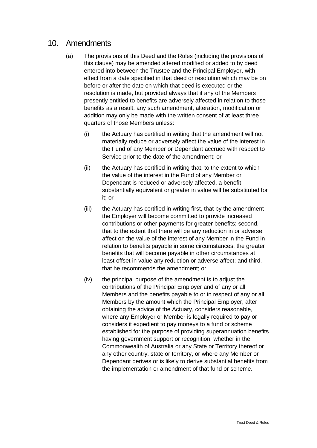#### <span id="page-27-0"></span>10. Amendments

- (a) The provisions of this Deed and the Rules (including the provisions of this clause) may be amended altered modified or added to by deed entered into between the Trustee and the Principal Employer, with effect from a date specified in that deed or resolution which may be on before or after the date on which that deed is executed or the resolution is made, but provided always that if any of the Members presently entitled to benefits are adversely affected in relation to those benefits as a result, any such amendment, alteration, modification or addition may only be made with the written consent of at least three quarters of those Members unless:
	- (i) the Actuary has certified in writing that the amendment will not materially reduce or adversely affect the value of the interest in the Fund of any Member or Dependant accrued with respect to Service prior to the date of the amendment; or
	- (ii) the Actuary has certified in writing that, to the extent to which the value of the interest in the Fund of any Member or Dependant is reduced or adversely affected, a benefit substantially equivalent or greater in value will be substituted for it; or
	- (iii) the Actuary has certified in writing first, that by the amendment the Employer will become committed to provide increased contributions or other payments for greater benefits; second, that to the extent that there will be any reduction in or adverse affect on the value of the interest of any Member in the Fund in relation to benefits payable in some circumstances, the greater benefits that will become payable in other circumstances at least offset in value any reduction or adverse affect; and third, that he recommends the amendment; or
	- (iv) the principal purpose of the amendment is to adjust the contributions of the Principal Employer and of any or all Members and the benefits payable to or in respect of any or all Members by the amount which the Principal Employer, after obtaining the advice of the Actuary, considers reasonable, where any Employer or Member is legally required to pay or considers it expedient to pay moneys to a fund or scheme established for the purpose of providing superannuation benefits having government support or recognition, whether in the Commonwealth of Australia or any State or Territory thereof or any other country, state or territory, or where any Member or Dependant derives or is likely to derive substantial benefits from the implementation or amendment of that fund or scheme.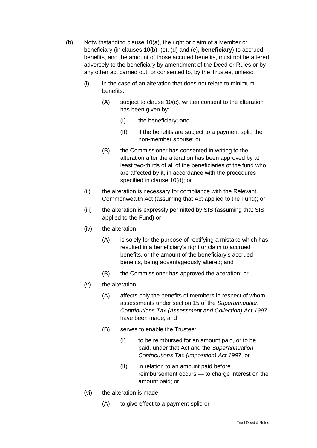- <span id="page-28-1"></span><span id="page-28-0"></span>(b) Notwithstanding clause [10\(](#page-27-0)a), the right or claim of a Member or beneficiary (in clauses [10](#page-27-0)[\(b\),](#page-28-0) [\(c\),](#page-29-0) [\(d\)](#page-29-1) and [\(e\),](#page-30-0) **beneficiary**) to accrued benefits, and the amount of those accrued benefits, must not be altered adversely to the beneficiary by amendment of the Deed or Rules or by any other act carried out, or consented to, by the Trustee, unless:
	- (i) in the case of an alteration that does not relate to minimum benefits:
		- (A) subject to clause [10\(c\),](#page-29-0) written consent to the alteration has been given by:
			- (I) the beneficiary; and
			- (II) if the benefits are subject to a payment split, the non-member spouse; or
		- (B) the Commissioner has consented in writing to the alteration after the alteration has been approved by at least two-thirds of all of the beneficiaries of the fund who are affected by it, in accordance with the procedures specified in clause [10\(d\);](#page-29-1) or
	- (ii) the alteration is necessary for compliance with the Relevant Commonwealth Act (assuming that Act applied to the Fund); or
	- (iii) the alteration is expressly permitted by SIS (assuming that SIS applied to the Fund) or
	- (iv) the alteration:
		- (A) is solely for the purpose of rectifying a mistake which has resulted in a beneficiary's right or claim to accrued benefits, or the amount of the beneficiary's accrued benefits, being advantageously altered; and
		- (B) the Commissioner has approved the alteration; or
	- (v) the alteration:
		- (A) affects only the benefits of members in respect of whom assessments under section 15 of the *Superannuation Contributions Tax (Assessment and Collection) Act 1997*  have been made; and
		- (B) serves to enable the Trustee:
			- (I) to be reimbursed for an amount paid, or to be paid, under that Act and the *Superannuation Contributions Tax (Imposition) Act 1997*; or
			- (II) in relation to an amount paid before reimbursement occurs — to charge interest on the amount paid; or
	- (vi) the alteration is made:
		- (A) to give effect to a payment split; or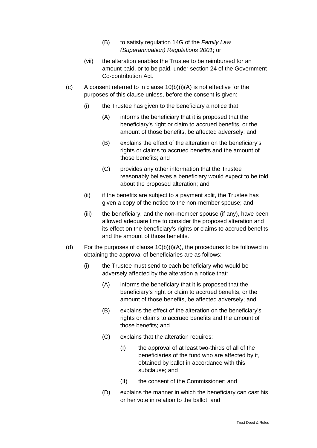- (B) to satisfy regulation 14G of the *Family Law (Superannuation) Regulations 2001*; or
- (vii) the alteration enables the Trustee to be reimbursed for an amount paid, or to be paid, under section 24 of the Government Co-contribution Act.
- <span id="page-29-0"></span>(c) A consent referred to in clause  $10(b)(i)(A)$  is not effective for the purposes of this clause unless, before the consent is given:
	- (i) the Trustee has given to the beneficiary a notice that:
		- (A) informs the beneficiary that it is proposed that the beneficiary's right or claim to accrued benefits, or the amount of those benefits, be affected adversely; and
		- (B) explains the effect of the alteration on the beneficiary's rights or claims to accrued benefits and the amount of those benefits; and
		- (C) provides any other information that the Trustee reasonably believes a beneficiary would expect to be told about the proposed alteration; and
	- (ii) if the benefits are subject to a payment split, the Trustee has given a copy of the notice to the non-member spouse; and
	- (iii) the beneficiary, and the non-member spouse (if any), have been allowed adequate time to consider the proposed alteration and its effect on the beneficiary's rights or claims to accrued benefits and the amount of those benefits.
- <span id="page-29-1"></span>(d) For the purposes of clause [10\(b\)\(i\)\(A\),](#page-28-1) the procedures to be followed in obtaining the approval of beneficiaries are as follows:
	- (i) the Trustee must send to each beneficiary who would be adversely affected by the alteration a notice that:
		- (A) informs the beneficiary that it is proposed that the beneficiary's right or claim to accrued benefits, or the amount of those benefits, be affected adversely; and
		- (B) explains the effect of the alteration on the beneficiary's rights or claims to accrued benefits and the amount of those benefits; and
		- (C) explains that the alteration requires:
			- (I) the approval of at least two-thirds of all of the beneficiaries of the fund who are affected by it, obtained by ballot in accordance with this subclause; and
			- (II) the consent of the Commissioner; and
		- (D) explains the manner in which the beneficiary can cast his or her vote in relation to the ballot; and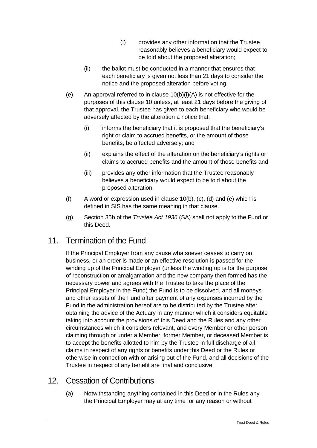- (I) provides any other information that the Trustee reasonably believes a beneficiary would expect to be told about the proposed alteration;
- (ii) the ballot must be conducted in a manner that ensures that each beneficiary is given not less than 21 days to consider the notice and the proposed alteration before voting.
- <span id="page-30-0"></span>(e) An approval referred to in clause  $10(b)(i)(A)$  is not effective for the purposes of this clause [10](#page-27-0) unless, at least 21 days before the giving of that approval, the Trustee has given to each beneficiary who would be adversely affected by the alteration a notice that:
	- (i) informs the beneficiary that it is proposed that the beneficiary's right or claim to accrued benefits, or the amount of those benefits, be affected adversely; and
	- (ii) explains the effect of the alteration on the beneficiary's rights or claims to accrued benefits and the amount of those benefits and
	- (iii) provides any other information that the Trustee reasonably believes a beneficiary would expect to be told about the proposed alteration.
- (f) A word or expression used in clause  $10(b)$ , [\(c\),](#page-29-0) [\(d\)](#page-29-1) and [\(e\)](#page-30-0) which is defined in SIS has the same meaning in that clause.
- (g) Section 35b of the *Trustee Act 1936* (SA) shall not apply to the Fund or this Deed.

#### 11. Termination of the Fund

If the Principal Employer from any cause whatsoever ceases to carry on business, or an order is made or an effective resolution is passed for the winding up of the Principal Employer (unless the winding up is for the purpose of reconstruction or amalgamation and the new company then formed has the necessary power and agrees with the Trustee to take the place of the Principal Employer in the Fund) the Fund is to be dissolved, and all moneys and other assets of the Fund after payment of any expenses incurred by the Fund in the administration hereof are to be distributed by the Trustee after obtaining the advice of the Actuary in any manner which it considers equitable taking into account the provisions of this Deed and the Rules and any other circumstances which it considers relevant, and every Member or other person claiming through or under a Member, former Member, or deceased Member is to accept the benefits allotted to him by the Trustee in full discharge of all claims in respect of any rights or benefits under this Deed or the Rules or otherwise in connection with or arising out of the Fund, and all decisions of the Trustee in respect of any benefit are final and conclusive.

### <span id="page-30-1"></span>12. Cessation of Contributions

(a) Notwithstanding anything contained in this Deed or in the Rules any the Principal Employer may at any time for any reason or without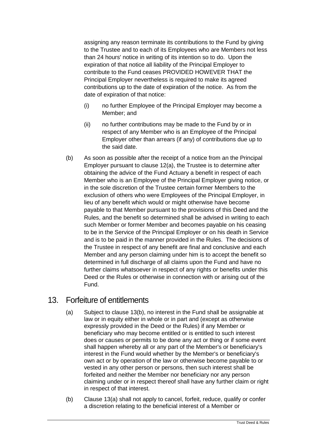assigning any reason terminate its contributions to the Fund by giving to the Trustee and to each of its Employees who are Members not less than 24 hours' notice in writing of its intention so to do. Upon the expiration of that notice all liability of the Principal Employer to contribute to the Fund ceases PROVIDED HOWEVER THAT the Principal Employer nevertheless is required to make its agreed contributions up to the date of expiration of the notice. As from the date of expiration of that notice:

- (i) no further Employee of the Principal Employer may become a Member; and
- (ii) no further contributions may be made to the Fund by or in respect of any Member who is an Employee of the Principal Employer other than arrears (if any) of contributions due up to the said date.
- (b) As soon as possible after the receipt of a notice from an the Principal Employer pursuant to clause [12\(a\),](#page-30-1) the Trustee is to determine after obtaining the advice of the Fund Actuary a benefit in respect of each Member who is an Employee of the Principal Employer giving notice, or in the sole discretion of the Trustee certain former Members to the exclusion of others who were Employees of the Principal Employer, in lieu of any benefit which would or might otherwise have become payable to that Member pursuant to the provisions of this Deed and the Rules, and the benefit so determined shall be advised in writing to each such Member or former Member and becomes payable on his ceasing to be in the Service of the Principal Employer or on his death in Service and is to be paid in the manner provided in the Rules. The decisions of the Trustee in respect of any benefit are final and conclusive and each Member and any person claiming under him is to accept the benefit so determined in full discharge of all claims upon the Fund and have no further claims whatsoever in respect of any rights or benefits under this Deed or the Rules or otherwise in connection with or arising out of the Fund.

#### <span id="page-31-2"></span><span id="page-31-1"></span>13. Forfeiture of entitlements

- (a) Subject to clause [13\(b\),](#page-31-0) no interest in the Fund shall be assignable at law or in equity either in whole or in part and (except as otherwise expressly provided in the Deed or the Rules) if any Member or beneficiary who may become entitled or is entitled to such interest does or causes or permits to be done any act or thing or if some event shall happen whereby all or any part of the Member's or beneficiary's interest in the Fund would whether by the Member's or beneficiary's own act or by operation of the law or otherwise become payable to or vested in any other person or persons, then such interest shall be forfeited and neither the Member nor beneficiary nor any person claiming under or in respect thereof shall have any further claim or right in respect of that interest.
- <span id="page-31-0"></span>(b) Clause [13\(a\)](#page-31-1) shall not apply to cancel, forfeit, reduce, qualify or confer a discretion relating to the beneficial interest of a Member or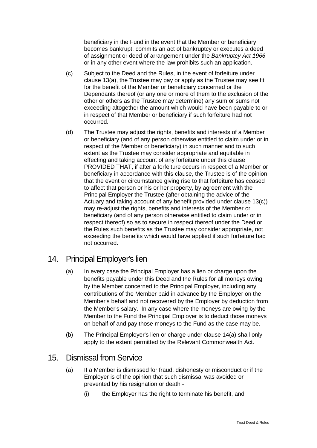beneficiary in the Fund in the event that the Member or beneficiary becomes bankrupt, commits an act of bankruptcy or executes a deed of assignment or deed of arrangement under the *Bankruptcy Act 1966* or in any other event where the law prohibits such an application.

- <span id="page-32-0"></span>(c) Subject to the Deed and the Rules, in the event of forfeiture under clause [13\(a\),](#page-31-1) the Trustee may pay or apply as the Trustee may see fit for the benefit of the Member or beneficiary concerned or the Dependants thereof (or any one or more of them to the exclusion of the other or others as the Trustee may determine) any sum or sums not exceeding altogether the amount which would have been payable to or in respect of that Member or beneficiary if such forfeiture had not occurred.
- (d) The Trustee may adjust the rights, benefits and interests of a Member or beneficiary (and of any person otherwise entitled to claim under or in respect of the Member or beneficiary) in such manner and to such extent as the Trustee may consider appropriate and equitable in effecting and taking account of any forfeiture under this clause PROVIDED THAT, if after a forfeiture occurs in respect of a Member or beneficiary in accordance with this clause, the Trustee is of the opinion that the event or circumstance giving rise to that forfeiture has ceased to affect that person or his or her property, by agreement with the Principal Employer the Trustee (after obtaining the advice of the Actuary and taking account of any benefit provided under clause [13\(c\)\)](#page-32-0) may re-adjust the rights, benefits and interests of the Member or beneficiary (and of any person otherwise entitled to claim under or in respect thereof) so as to secure in respect thereof under the Deed or the Rules such benefits as the Trustee may consider appropriate, not exceeding the benefits which would have applied if such forfeiture had not occurred.

#### <span id="page-32-2"></span><span id="page-32-1"></span>14. Principal Employer's lien

- (a) In every case the Principal Employer has a lien or charge upon the benefits payable under this Deed and the Rules for all moneys owing by the Member concerned to the Principal Employer, including any contributions of the Member paid in advance by the Employer on the Member's behalf and not recovered by the Employer by deduction from the Member's salary. In any case where the moneys are owing by the Member to the Fund the Principal Employer is to deduct those moneys on behalf of and pay those moneys to the Fund as the case may be.
- (b) The Principal Employer's lien or charge under clause [14\(a\)](#page-32-1) shall only apply to the extent permitted by the Relevant Commonwealth Act.

#### <span id="page-32-4"></span><span id="page-32-3"></span>15. Dismissal from Service

- (a) If a Member is dismissed for fraud, dishonesty or misconduct or if the Employer is of the opinion that such dismissal was avoided or prevented by his resignation or death -
	- (i) the Employer has the right to terminate his benefit, and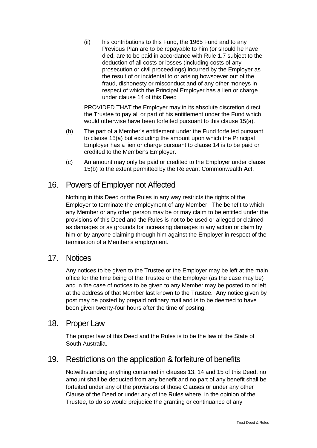(ii) his contributions to this Fund, the 1965 Fund and to any Previous Plan are to be repayable to him (or should he have died, are to be paid in accordance with Rule 1.7 subject to the deduction of all costs or losses (including costs of any prosecution or civil proceedings) incurred by the Employer as the result of or incidental to or arising howsoever out of the fraud, dishonesty or misconduct and of any other moneys in respect of which the Principal Employer has a lien or charge under clause [14](#page-32-2) of this Deed

PROVIDED THAT the Employer may in its absolute discretion direct the Trustee to pay all or part of his entitlement under the Fund which would otherwise have been forfeited pursuant to this clause [15\(a\).](#page-32-3)

- <span id="page-33-0"></span>(b) The part of a Member's entitlement under the Fund forfeited pursuant to clause [15\(a\)](#page-32-3) but excluding the amount upon which the Principal Employer has a lien or charge pursuant to clause [14](#page-32-2) is to be paid or credited to the Member's Employer.
- (c) An amount may only be paid or credited to the Employer under clause [15\(b\)](#page-33-0) to the extent permitted by the Relevant Commonwealth Act.

#### 16. Powers of Employer not Affected

Nothing in this Deed or the Rules in any way restricts the rights of the Employer to terminate the employment of any Member. The benefit to which any Member or any other person may be or may claim to be entitled under the provisions of this Deed and the Rules is not to be used or alleged or claimed as damages or as grounds for increasing damages in any action or claim by him or by anyone claiming through him against the Employer in respect of the termination of a Member's employment.

#### 17. Notices

Any notices to be given to the Trustee or the Employer may be left at the main office for the time being of the Trustee or the Employer (as the case may be) and in the case of notices to be given to any Member may be posted to or left at the address of that Member last known to the Trustee. Any notice given by post may be posted by prepaid ordinary mail and is to be deemed to have been given twenty-four hours after the time of posting.

#### 18. Proper Law

The proper law of this Deed and the Rules is to be the law of the State of South Australia.

#### 19. Restrictions on the application & forfeiture of benefits

Notwithstanding anything contained in clauses [13,](#page-31-2) [14](#page-32-2) and [15](#page-32-4) of this Deed, no amount shall be deducted from any benefit and no part of any benefit shall be forfeited under any of the provisions of those Clauses or under any other Clause of the Deed or under any of the Rules where, in the opinion of the Trustee, to do so would prejudice the granting or continuance of any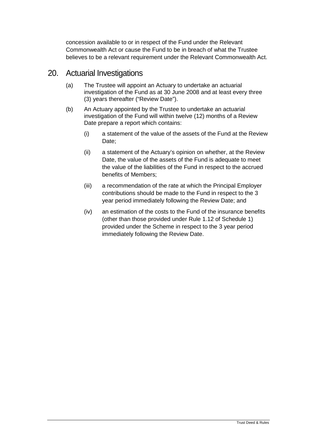concession available to or in respect of the Fund under the Relevant Commonwealth Act or cause the Fund to be in breach of what the Trustee believes to be a relevant requirement under the Relevant Commonwealth Act.

#### 20. Actuarial Investigations

- (a) The Trustee will appoint an Actuary to undertake an actuarial investigation of the Fund as at 30 June 2008 and at least every three (3) years thereafter ("Review Date").
- (b) An Actuary appointed by the Trustee to undertake an actuarial investigation of the Fund will within twelve (12) months of a Review Date prepare a report which contains:
	- (i) a statement of the value of the assets of the Fund at the Review Date;
	- (ii) a statement of the Actuary's opinion on whether, at the Review Date, the value of the assets of the Fund is adequate to meet the value of the liabilities of the Fund in respect to the accrued benefits of Members;
	- (iii) a recommendation of the rate at which the Principal Employer contributions should be made to the Fund in respect to the 3 year period immediately following the Review Date; and
	- (iv) an estimation of the costs to the Fund of the insurance benefits (other than those provided under Rule 1.12 of Schedule 1) provided under the Scheme in respect to the 3 year period immediately following the Review Date.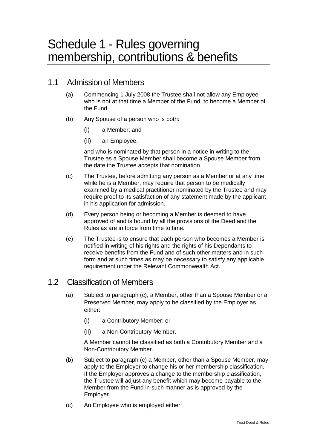### Schedule 1 - Rules governing membership, contributions & benefits

#### 1.1 Admission of Members

- (a) Commencing 1 July 2008 the Trustee shall not allow any Employee who is not at that time a Member of the Fund, to become a Member of the Fund.
- (b) Any Spouse of a person who is both:
	- (i) a Member; and
	- (ii) an Employee,

and who is nominated by that person in a notice in writing to the Trustee as a Spouse Member shall become a Spouse Member from the date the Trustee accepts that nomination.

- (c) The Trustee, before admitting any person as a Member or at any time while he is a Member, may require that person to be medically examined by a medical practitioner nominated by the Trustee and may require proof to its satisfaction of any statement made by the applicant in his application for admission.
- (d) Every person being or becoming a Member is deemed to have approved of and is bound by all the provisions of the Deed and the Rules as are in force from time to time.
- (e) The Trustee is to ensure that each person who becomes a Member is notified in writing of his rights and the rights of his Dependants to receive benefits from the Fund and of such other matters and in such form and at such times as may be necessary to satisfy any applicable requirement under the Relevant Commonwealth Act.

#### 1.2 Classification of Members

- (a) Subject to paragraph (c), a Member, other than a Spouse Member or a Preserved Member, may apply to be classified by the Employer as either:
	- (i) a Contributory Member; or
	- (ii) a Non-Contributory Member.

A Member cannot be classified as both a Contributory Member and a Non-Contributory Member.

- (b) Subject to paragraph (c) a Member, other than a Spouse Member, may apply to the Employer to change his or her membership classification. If the Employer approves a change to the membership classification, the Trustee will adjust any benefit which may become payable to the Member from the Fund in such manner as is approved by the Employer.
- (c) An Employee who is employed either: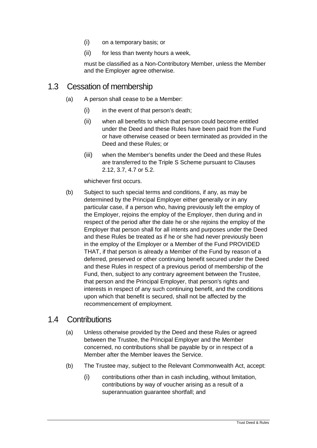- (i) on a temporary basis; or
- (ii) for less than twenty hours a week,

must be classified as a Non-Contributory Member, unless the Member and the Employer agree otherwise.

#### 1.3 Cessation of membership

- (a) A person shall cease to be a Member:
	- (i) in the event of that person's death;
	- (ii) when all benefits to which that person could become entitled under the Deed and these Rules have been paid from the Fund or have otherwise ceased or been terminated as provided in the Deed and these Rules; or
	- (iii) when the Member's benefits under the Deed and these Rules are transferred to the Triple S Scheme pursuant to Clauses 2.12, 3.7, 4.7 or 5.2.

whichever first occurs.

(b) Subject to such special terms and conditions, if any, as may be determined by the Principal Employer either generally or in any particular case, if a person who, having previously left the employ of the Employer, rejoins the employ of the Employer, then during and in respect of the period after the date he or she rejoins the employ of the Employer that person shall for all intents and purposes under the Deed and these Rules be treated as if he or she had never previously been in the employ of the Employer or a Member of the Fund PROVIDED THAT, if that person is already a Member of the Fund by reason of a deferred, preserved or other continuing benefit secured under the Deed and these Rules in respect of a previous period of membership of the Fund, then, subject to any contrary agreement between the Trustee, that person and the Principal Employer, that person's rights and interests in respect of any such continuing benefit, and the conditions upon which that benefit is secured, shall not be affected by the recommencement of employment.

#### 1.4 Contributions

- (a) Unless otherwise provided by the Deed and these Rules or agreed between the Trustee, the Principal Employer and the Member concerned, no contributions shall be payable by or in respect of a Member after the Member leaves the Service.
- (b) The Trustee may, subject to the Relevant Commonwealth Act, accept:
	- (i) contributions other than in cash including, without limitation, contributions by way of voucher arising as a result of a superannuation guarantee shortfall; and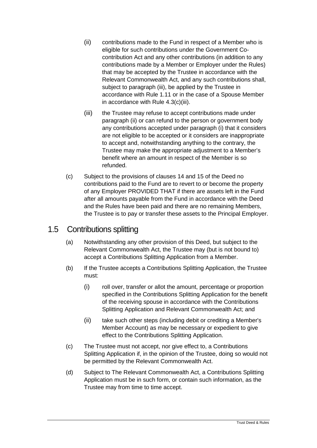- (ii) contributions made to the Fund in respect of a Member who is eligible for such contributions under the Government Cocontribution Act and any other contributions (in addition to any contributions made by a Member or Employer under the Rules) that may be accepted by the Trustee in accordance with the Relevant Commonwealth Act, and any such contributions shall, subject to paragraph (iii), be applied by the Trustee in accordance with Rule 1.11 or in the case of a Spouse Member in accordance with Rule 4.3(c)(iii).
- (iii) the Trustee may refuse to accept contributions made under paragraph (ii) or can refund to the person or government body any contributions accepted under paragraph (i) that it considers are not eligible to be accepted or it considers are inappropriate to accept and, notwithstanding anything to the contrary, the Trustee may make the appropriate adjustment to a Member's benefit where an amount in respect of the Member is so refunded.
- (c) Subject to the provisions of clauses [14](#page-32-0) and [15](#page-32-1) of the Deed no contributions paid to the Fund are to revert to or become the property of any Employer PROVIDED THAT if there are assets left in the Fund after all amounts payable from the Fund in accordance with the Deed and the Rules have been paid and there are no remaining Members, the Trustee is to pay or transfer these assets to the Principal Employer.

#### 1.5 Contributions splitting

- (a) Notwithstanding any other provision of this Deed, but subject to the Relevant Commonwealth Act, the Trustee may (but is not bound to) accept a Contributions Splitting Application from a Member.
- (b) If the Trustee accepts a Contributions Splitting Application, the Trustee must:
	- (i) roll over, transfer or allot the amount, percentage or proportion specified in the Contributions Splitting Application for the benefit of the receiving spouse in accordance with the Contributions Splitting Application and Relevant Commonwealth Act; and
	- (ii) take such other steps (including debit or crediting a Member's Member Account) as may be necessary or expedient to give effect to the Contributions Splitting Application.
- (c) The Trustee must not accept, nor give effect to, a Contributions Splitting Application if, in the opinion of the Trustee, doing so would not be permitted by the Relevant Commonwealth Act.
- (d) Subject to The Relevant Commonwealth Act, a Contributions Splitting Application must be in such form, or contain such information, as the Trustee may from time to time accept.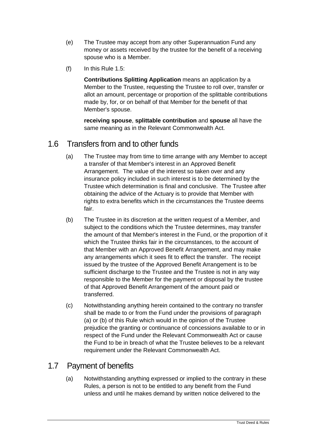- (e) The Trustee may accept from any other Superannuation Fund any money or assets received by the trustee for the benefit of a receiving spouse who is a Member.
- (f) In this Rule 1.5:

**Contributions Splitting Application** means an application by a Member to the Trustee, requesting the Trustee to roll over, transfer or allot an amount, percentage or proportion of the splittable contributions made by, for, or on behalf of that Member for the benefit of that Member's spouse.

**receiving spouse**, **splittable contribution** and **spouse** all have the same meaning as in the Relevant Commonwealth Act.

# 1.6 Transfers from and to other funds

- (a) The Trustee may from time to time arrange with any Member to accept a transfer of that Member's interest in an Approved Benefit Arrangement. The value of the interest so taken over and any insurance policy included in such interest is to be determined by the Trustee which determination is final and conclusive. The Trustee after obtaining the advice of the Actuary is to provide that Member with rights to extra benefits which in the circumstances the Trustee deems fair.
- (b) The Trustee in its discretion at the written request of a Member, and subject to the conditions which the Trustee determines, may transfer the amount of that Member's interest in the Fund, or the proportion of it which the Trustee thinks fair in the circumstances, to the account of that Member with an Approved Benefit Arrangement, and may make any arrangements which it sees fit to effect the transfer. The receipt issued by the trustee of the Approved Benefit Arrangement is to be sufficient discharge to the Trustee and the Trustee is not in any way responsible to the Member for the payment or disposal by the trustee of that Approved Benefit Arrangement of the amount paid or transferred.
- (c) Notwithstanding anything herein contained to the contrary no transfer shall be made to or from the Fund under the provisions of paragraph (a) or (b) of this Rule which would in the opinion of the Trustee prejudice the granting or continuance of concessions available to or in respect of the Fund under the Relevant Commonwealth Act or cause the Fund to be in breach of what the Trustee believes to be a relevant requirement under the Relevant Commonwealth Act.

#### 1.7 Payment of benefits

(a) Notwithstanding anything expressed or implied to the contrary in these Rules, a person is not to be entitled to any benefit from the Fund unless and until he makes demand by written notice delivered to the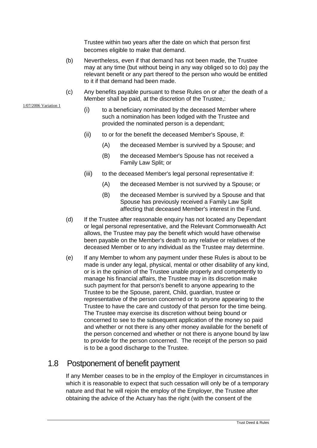Trustee within two years after the date on which that person first becomes eligible to make that demand.

- (b) Nevertheless, even if that demand has not been made, the Trustee may at any time (but without being in any way obliged so to do) pay the relevant benefit or any part thereof to the person who would be entitled to it if that demand had been made.
- (c) Any benefits payable pursuant to these Rules on or after the death of a Member shall be paid, at the discretion of the Trustee,:
	- (i) to a beneficiary nominated by the deceased Member where such a nomination has been lodged with the Trustee and provided the nominated person is a dependant;
	- (ii) to or for the benefit the deceased Member's Spouse, if:
		- (A) the deceased Member is survived by a Spouse; and
		- (B) the deceased Member's Spouse has not received a Family Law Split; or
	- (iii) to the deceased Member's legal personal representative if:
		- (A) the deceased Member is not survived by a Spouse; or
		- (B) the deceased Member is survived by a Spouse and that Spouse has previously received a Family Law Split affecting that deceased Member's interest in the Fund.
- (d) If the Trustee after reasonable enquiry has not located any Dependant or legal personal representative, and the Relevant Commonwealth Act allows, the Trustee may pay the benefit which would have otherwise been payable on the Member's death to any relative or relatives of the deceased Member or to any individual as the Trustee may determine.
- (e) If any Member to whom any payment under these Rules is about to be made is under any legal, physical, mental or other disability of any kind, or is in the opinion of the Trustee unable properly and competently to manage his financial affairs, the Trustee may in its discretion make such payment for that person's benefit to anyone appearing to the Trustee to be the Spouse, parent, Child, guardian, trustee or representative of the person concerned or to anyone appearing to the Trustee to have the care and custody of that person for the time being. The Trustee may exercise its discretion without being bound or concerned to see to the subsequent application of the money so paid and whether or not there is any other money available for the benefit of the person concerned and whether or not there is anyone bound by law to provide for the person concerned. The receipt of the person so paid is to be a good discharge to the Trustee.

# 1.8 Postponement of benefit payment

If any Member ceases to be in the employ of the Employer in circumstances in which it is reasonable to expect that such cessation will only be of a temporary nature and that he will rejoin the employ of the Employer, the Trustee after obtaining the advice of the Actuary has the right (with the consent of the

1/07/2006 Variation 1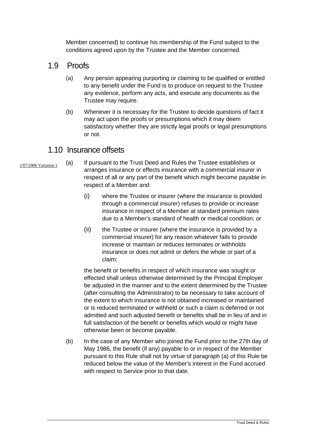Member concerned) to continue his membership of the Fund subject to the conditions agreed upon by the Trustee and the Member concerned.

# 1.9 Proofs

- (a) Any person appearing purporting or claiming to be qualified or entitled to any benefit under the Fund is to produce on request to the Trustee any evidence, perform any acts, and execute any documents as the Trustee may require.
- (b) Whenever it is necessary for the Trustee to decide questions of fact it may act upon the proofs or presumptions which it may deem satisfactory whether they are strictly legal proofs or legal presumptions or not.

#### 1.10 Insurance offsets

- 1/07/2006 Variation 1
- (a) If pursuant to the Trust Deed and Rules the Trustee establishes or arranges insurance or effects insurance with a commercial insurer in respect of all or any part of the benefit which might become payable in respect of a Member and:
	- (i) where the Trustee or insurer (where the insurance is provided through a commercial insurer) refuses to provide or increase insurance in respect of a Member at standard premium rates due to a Member's standard of health or medical condition; or
	- (ii) the Trustee or insurer (where the insurance is provided by a commercial insurer) for any reason whatever fails to provide increase or maintain or reduces terminates or withholds insurance or does not admit or defers the whole or part of a claim;

the benefit or benefits in respect of which insurance was sought or effected shall unless otherwise determined by the Principal Employer be adjusted in the manner and to the extent determined by the Trustee (after consulting the Administrator) to be necessary to take account of the extent to which insurance is not obtained increased or maintained or is reduced terminated or withheld or such a claim is deferred or not admitted and such adjusted benefit or benefits shall be in lieu of and in full satisfaction of the benefit or benefits which would or might have otherwise been or become payable.

(b) In the case of any Member who joined the Fund prior to the 27th day of May 1986, the benefit (if any) payable to or in respect of the Member pursuant to this Rule shall not by virtue of paragraph (a) of this Rule be reduced below the value of the Member's interest in the Fund accrued with respect to Service prior to that date.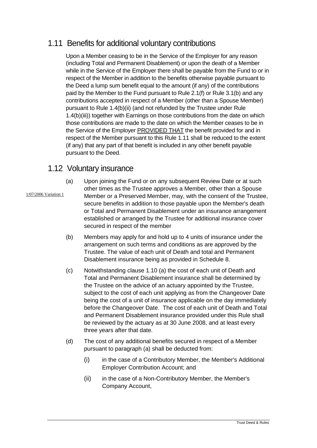# 1.11 Benefits for additional voluntary contributions

Upon a Member ceasing to be in the Service of the Employer for any reason (including Total and Permanent Disablement) or upon the death of a Member while in the Service of the Employer there shall be payable from the Fund to or in respect of the Member in addition to the benefits otherwise payable pursuant to the Deed a lump sum benefit equal to the amount (if any) of the contributions paid by the Member to the Fund pursuant to Rule 2.1(f) or Rule 3.1(b) and any contributions accepted in respect of a Member (other than a Spouse Member) pursuant to Rule 1.4(b)(ii) (and not refunded by the Trustee under Rule 1.4(b)(iii)) together with Earnings on those contributions from the date on which those contributions are made to the date on which the Member ceases to be in the Service of the Employer PROVIDED THAT the benefit provided for and in respect of the Member pursuant to this Rule 1.11 shall be reduced to the extent (if any) that any part of that benefit is included in any other benefit payable pursuant to the Deed.

#### 1.12 Voluntary insurance

- 1/07/2006 Variation 1
- (a) Upon joining the Fund or on any subsequent Review Date or at such other times as the Trustee approves a Member, other than a Spouse Member or a Preserved Member, may, with the consent of the Trustee, secure benefits in addition to those payable upon the Member's death or Total and Permanent Disablement under an insurance arrangement established or arranged by the Trustee for additional insurance cover secured in respect of the member
- (b) Members may apply for and hold up to 4 units of insurance under the arrangement on such terms and conditions as are approved by the Trustee. The value of each unit of Death and total and Permanent Disablement insurance being as provided in Schedule 8.
- (c) Notwithstanding clause 1.10 (a) the cost of each unit of Death and Total and Permanent Disablement insurance shall be determined by the Trustee on the advice of an actuary appointed by the Trustee, subject to the cost of each unit applying as from the Changeover Date being the cost of a unit of insurance applicable on the day immediately before the Changeover Date. The cost of each unit of Death and Total and Permanent Disablement insurance provided under this Rule shall be reviewed by the actuary as at 30 June 2008, and at least every three years after that date.
- (d) The cost of any additional benefits secured in respect of a Member pursuant to paragraph (a) shall be deducted from:
	- (i) in the case of a Contributory Member, the Member's Additional Employer Contribution Account; and
	- (ii) in the case of a Non-Contributory Member, the Member's Company Account,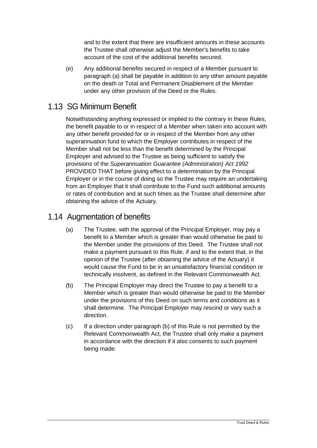and to the extent that there are insufficient amounts in these accounts the Trustee shall otherwise adjust the Member's benefits to take account of the cost of the additional benefits secured.

(e) Any additional benefits secured in respect of a Member pursuant to paragraph (a) shall be payable in addition to any other amount payable on the death or Total and Permanent Disablement of the Member under any other provision of the Deed or the Rules.

### 1.13 SG Minimum Benefit

Notwithstanding anything expressed or implied to the contrary in these Rules, the benefit payable to or in respect of a Member when taken into account with any other benefit provided for or in respect of the Member from any other superannuation fund to which the Employer contributes in respect of the Member shall not be less than the benefit determined by the Principal Employer and advised to the Trustee as being sufficient to satisfy the provisions of the *Superannuation Guarantee (Administration) Act 1992*  PROVIDED THAT before giving effect to a determination by the Principal Employer or in the course of doing so the Trustee may require an undertaking from an Employer that it shall contribute to the Fund such additional amounts or rates of contribution and at such times as the Trustee shall determine after obtaining the advice of the Actuary.

#### 1.14 Augmentation of benefits

- (a) The Trustee, with the approval of the Principal Employer, may pay a benefit to a Member which is greater than would otherwise be paid to the Member under the provisions of this Deed. The Trustee shall not make a payment pursuant to this Rule, if and to the extent that, in the opinion of the Trustee (after obtaining the advice of the Actuary) it would cause the Fund to be in an unsatisfactory financial condition or technically insolvent, as defined in the Relevant Commonwealth Act.
- (b) The Principal Employer may direct the Trustee to pay a benefit to a Member which is greater than would otherwise be paid to the Member under the provisions of this Deed on such terms and conditions as it shall determine. The Principal Employer may rescind or vary such a direction.
- (c) If a direction under paragraph (b) of this Rule is not permitted by the Relevant Commonwealth Act, the Trustee shall only make a payment in accordance with the direction if it also consents to such payment being made.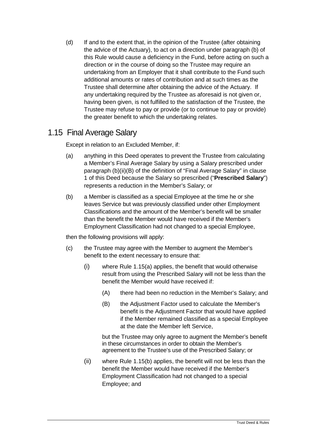(d) If and to the extent that, in the opinion of the Trustee (after obtaining the advice of the Actuary), to act on a direction under paragraph (b) of this Rule would cause a deficiency in the Fund, before acting on such a direction or in the course of doing so the Trustee may require an undertaking from an Employer that it shall contribute to the Fund such additional amounts or rates of contribution and at such times as the Trustee shall determine after obtaining the advice of the Actuary. If any undertaking required by the Trustee as aforesaid is not given or, having been given, is not fulfilled to the satisfaction of the Trustee, the Trustee may refuse to pay or provide (or to continue to pay or provide) the greater benefit to which the undertaking relates.

#### 1.15 Final Average Salary

Except in relation to an Excluded Member, if:

- (a) anything in this Deed operates to prevent the Trustee from calculating a Member's Final Average Salary by using a Salary prescribed under paragraph (b)(ii)(B) of the definition of "Final Average Salary" in clause 1 of this Deed because the Salary so prescribed ("**Prescribed Salary**") represents a reduction in the Member's Salary; or
- (b) a Member is classified as a special Employee at the time he or she leaves Service but was previously classified under other Employment Classifications and the amount of the Member's benefit will be smaller than the benefit the Member would have received if the Member's Employment Classification had not changed to a special Employee,

then the following provisions will apply:

- (c) the Trustee may agree with the Member to augment the Member's benefit to the extent necessary to ensure that:
	- (i) where Rule 1.15(a) applies, the benefit that would otherwise result from using the Prescribed Salary will not be less than the benefit the Member would have received if:
		- (A) there had been no reduction in the Member's Salary; and
		- (B) the Adjustment Factor used to calculate the Member's benefit is the Adjustment Factor that would have applied if the Member remained classified as a special Employee at the date the Member left Service,

but the Trustee may only agree to augment the Member's benefit in these circumstances in order to obtain the Member's agreement to the Trustee's use of the Prescribed Salary; or

(ii) where Rule 1.15(b) applies, the benefit will not be less than the benefit the Member would have received if the Member's Employment Classification had not changed to a special Employee; and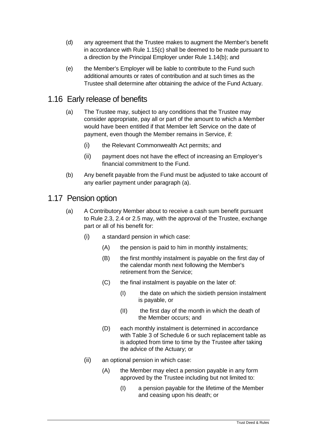- (d) any agreement that the Trustee makes to augment the Member's benefit in accordance with Rule 1.15(c) shall be deemed to be made pursuant to a direction by the Principal Employer under Rule 1.14(b); and
- (e) the Member's Employer will be liable to contribute to the Fund such additional amounts or rates of contribution and at such times as the Trustee shall determine after obtaining the advice of the Fund Actuary.

#### 1.16 Early release of benefits

- (a) The Trustee may, subject to any conditions that the Trustee may consider appropriate, pay all or part of the amount to which a Member would have been entitled if that Member left Service on the date of payment, even though the Member remains in Service, if:
	- (i) the Relevant Commonwealth Act permits; and
	- (ii) payment does not have the effect of increasing an Employer's financial commitment to the Fund.
- (b) Any benefit payable from the Fund must be adjusted to take account of any earlier payment under paragraph (a).

#### 1.17 Pension option

- (a) A Contributory Member about to receive a cash sum benefit pursuant to Rule 2.3, 2.4 or 2.5 may, with the approval of the Trustee, exchange part or all of his benefit for:
	- (i) a standard pension in which case:
		- (A) the pension is paid to him in monthly instalments;
		- (B) the first monthly instalment is payable on the first day of the calendar month next following the Member's retirement from the Service;
		- (C) the final instalment is payable on the later of:
			- (I) the date on which the sixtieth pension instalment is payable, or
			- (II) the first day of the month in which the death of the Member occurs; and
		- (D) each monthly instalment is determined in accordance with Table 3 of Schedule 6 or such replacement table as is adopted from time to time by the Trustee after taking the advice of the Actuary; or
	- (ii) an optional pension in which case:
		- (A) the Member may elect a pension payable in any form approved by the Trustee including but not limited to:
			- (I) a pension payable for the lifetime of the Member and ceasing upon his death; or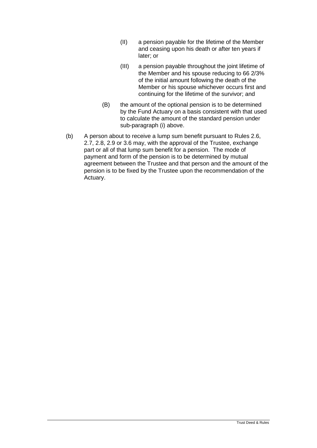- (II) a pension payable for the lifetime of the Member and ceasing upon his death or after ten years if later; or
- (III) a pension payable throughout the joint lifetime of the Member and his spouse reducing to 66 2/3% of the initial amount following the death of the Member or his spouse whichever occurs first and continuing for the lifetime of the survivor; and
- (B) the amount of the optional pension is to be determined by the Fund Actuary on a basis consistent with that used to calculate the amount of the standard pension under sub-paragraph (i) above.
- (b) A person about to receive a lump sum benefit pursuant to Rules 2.6, 2.7, 2.8, 2.9 or 3.6 may, with the approval of the Trustee, exchange part or all of that lump sum benefit for a pension. The mode of payment and form of the pension is to be determined by mutual agreement between the Trustee and that person and the amount of the pension is to be fixed by the Trustee upon the recommendation of the Actuary.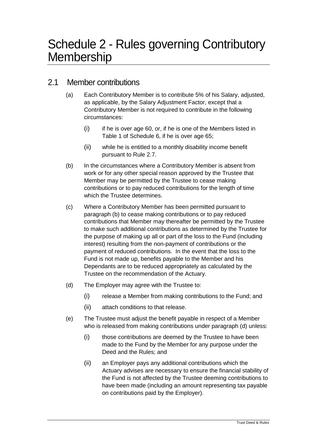# 2.1 Member contributions

- (a) Each Contributory Member is to contribute 5% of his Salary, adjusted, as applicable, by the Salary Adjustment Factor, except that a Contributory Member is not required to contribute in the following circumstances:
	- $(i)$  if he is over age 60, or, if he is one of the Members listed in Table 1 of Schedule 6, if he is over age 65;
	- (ii) while he is entitled to a monthly disability income benefit pursuant to Rule 2.7.
- (b) In the circumstances where a Contributory Member is absent from work or for any other special reason approved by the Trustee that Member may be permitted by the Trustee to cease making contributions or to pay reduced contributions for the length of time which the Trustee determines.
- (c) Where a Contributory Member has been permitted pursuant to paragraph (b) to cease making contributions or to pay reduced contributions that Member may thereafter be permitted by the Trustee to make such additional contributions as determined by the Trustee for the purpose of making up all or part of the loss to the Fund (including interest) resulting from the non-payment of contributions or the payment of reduced contributions. In the event that the loss to the Fund is not made up, benefits payable to the Member and his Dependants are to be reduced appropriately as calculated by the Trustee on the recommendation of the Actuary.
- (d) The Employer may agree with the Trustee to:
	- (i) release a Member from making contributions to the Fund; and
	- (ii) attach conditions to that release.
- (e) The Trustee must adjust the benefit payable in respect of a Member who is released from making contributions under paragraph (d) unless:
	- (i) those contributions are deemed by the Trustee to have been made to the Fund by the Member for any purpose under the Deed and the Rules; and
	- (ii) an Employer pays any additional contributions which the Actuary advises are necessary to ensure the financial stability of the Fund is not affected by the Trustee deeming contributions to have been made (including an amount representing tax payable on contributions paid by the Employer).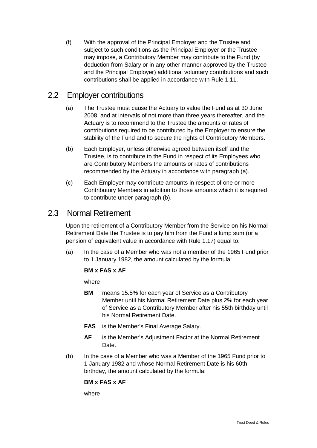(f) With the approval of the Principal Employer and the Trustee and subject to such conditions as the Principal Employer or the Trustee may impose, a Contributory Member may contribute to the Fund (by deduction from Salary or in any other manner approved by the Trustee and the Principal Employer) additional voluntary contributions and such contributions shall be applied in accordance with Rule 1.11.

#### 2.2 Employer contributions

- (a) The Trustee must cause the Actuary to value the Fund as at 30 June 2008, and at intervals of not more than three years thereafter, and the Actuary is to recommend to the Trustee the amounts or rates of contributions required to be contributed by the Employer to ensure the stability of the Fund and to secure the rights of Contributory Members.
- (b) Each Employer, unless otherwise agreed between itself and the Trustee, is to contribute to the Fund in respect of its Employees who are Contributory Members the amounts or rates of contributions recommended by the Actuary in accordance with paragraph (a).
- (c) Each Employer may contribute amounts in respect of one or more Contributory Members in addition to those amounts which it is required to contribute under paragraph (b).

#### 2.3 Normal Retirement

Upon the retirement of a Contributory Member from the Service on his Normal Retirement Date the Trustee is to pay him from the Fund a lump sum (or a pension of equivalent value in accordance with Rule 1.17) equal to:

(a) In the case of a Member who was not a member of the 1965 Fund prior to 1 January 1982, the amount calculated by the formula:

#### **BM x FAS x AF**

where

- **BM** means 15.5% for each year of Service as a Contributory Member until his Normal Retirement Date plus 2% for each year of Service as a Contributory Member after his 55th birthday until his Normal Retirement Date.
- **FAS** is the Member's Final Average Salary.
- **AF** is the Member's Adjustment Factor at the Normal Retirement Date.
- (b) In the case of a Member who was a Member of the 1965 Fund prior to 1 January 1982 and whose Normal Retirement Date is his 60th birthday, the amount calculated by the formula:

**BM x FAS x AF**

where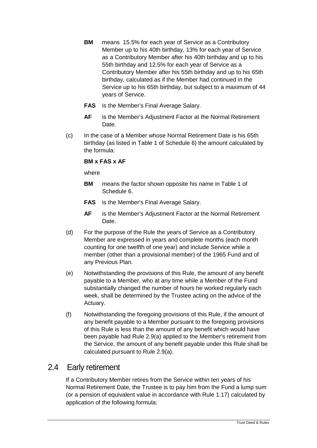- **BM** means 15.5% for each year of Service as a Contributory Member up to his 40th birthday, 13% for each year of Service as a Contributory Member after his 40th birthday and up to his 55th birthday and 12.5% for each year of Service as a Contributory Member after his 55th birthday and up to his 65th birthday, calculated as if the Member had continued in the Service up to his 65th birthday, but subject to a maximum of 44 years of Service.
- **FAS** is the Member's Final Average Salary.
- **AF** is the Member's Adjustment Factor at the Normal Retirement Date.
- (c) In the case of a Member whose Normal Retirement Date is his 65th birthday (as listed in Table 1 of Schedule 6) the amount calculated by the formula:

#### **BM x FAS x AF**

where

- **BM** means the factor shown opposite his name in Table 1 of Schedule 6.
- **FAS** is the Member's Final Average Salary.
- **AF** is the Member's Adjustment Factor at the Normal Retirement Date.
- (d) For the purpose of the Rule the years of Service as a Contributory Member are expressed in years and complete months (each month counting for one twelfth of one year) and include Service while a member (other than a provisional member) of the 1965 Fund and of any Previous Plan.
- (e) Notwithstanding the provisions of this Rule, the amount of any benefit payable to a Member, who at any time while a Member of the Fund substantially changed the number of hours he worked regularly each week, shall be determined by the Trustee acting on the advice of the Actuary.
- (f) Notwithstanding the foregoing provisions of this Rule, if the amount of any benefit payable to a Member pursuant to the foregoing provisions of this Rule is less than the amount of any benefit which would have been payable had Rule 2.9(a) applied to the Member's retirement from the Service, the amount of any benefit payable under this Rule shall be calculated pursuant to Rule 2.9(a).

# 2.4 Early retirement

If a Contributory Member retires from the Service within ten years of his Normal Retirement Date, the Trustee is to pay him from the Fund a lump sum (or a pension of equivalent value in accordance with Rule 1.17) calculated by application of the following formula: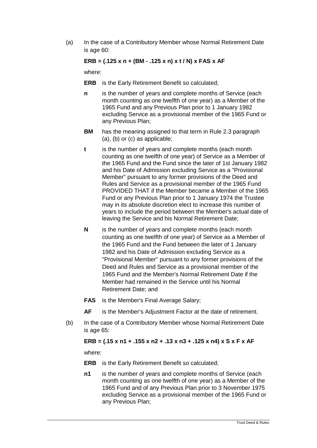(a) In the case of a Contributory Member whose Normal Retirement Date is age 60:

#### **ERB = (.125 x n + (BM - .125 x n) x t / N) x FAS x AF**

where:

- **ERB** is the Early Retirement Benefit so calculated;
- **n** is the number of years and complete months of Service (each month counting as one twelfth of one year) as a Member of the 1965 Fund and any Previous Plan prior to 1 January 1982 excluding Service as a provisional member of the 1965 Fund or any Previous Plan;
- **BM** has the meaning assigned to that term in Rule 2.3 paragraph (a), (b) or (c) as applicable;
- **t** is the number of years and complete months (each month counting as one twelfth of one year) of Service as a Member of the 1965 Fund and the Fund since the later of 1st January 1982 and his Date of Admission excluding Service as a "Provisional Member" pursuant to any former provisions of the Deed and Rules and Service as a provisional member of the 1965 Fund PROVIDED THAT if the Member became a Member of the 1965 Fund or any Previous Plan prior to 1 January 1974 the Trustee may in its absolute discretion elect to increase this number of years to include the period between the Member's actual date of leaving the Service and his Normal Retirement Date;
- **N** is the number of years and complete months (each month counting as one twelfth of one year) of Service as a Member of the 1965 Fund and the Fund between the later of 1 January 1982 and his Date of Admission excluding Service as a "Provisional Member" pursuant to any former provisions of the Deed and Rules and Service as a provisional member of the 1965 Fund and the Member's Normal Retirement Date if the Member had remained in the Service until his Normal Retirement Date; and
- **FAS** is the Member's Final Average Salary;
- **AF** is the Member's Adjustment Factor at the date of retirement.
- (b) In the case of a Contributory Member whose Normal Retirement Date is age 65:

**ERB = (.15 x n1 + .155 x n2 + .13 x n3 + .125 x n4) x S x F x AF** 

where:

- **ERB** is the Early Retirement Benefit so calculated;
- **n1** is the number of years and complete months of Service (each month counting as one twelfth of one year) as a Member of the 1965 Fund and of any Previous Plan prior to 3 November 1975 excluding Service as a provisional member of the 1965 Fund or any Previous Plan;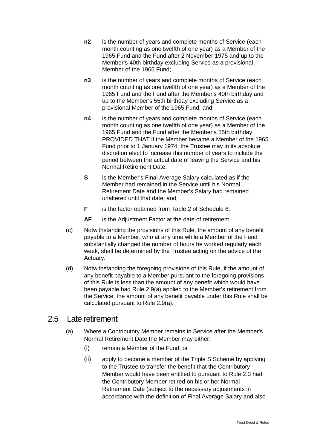- **n2** is the number of years and complete months of Service (each month counting as one twelfth of one year) as a Member of the 1965 Fund and the Fund after 2 November 1975 and up to the Member's 40th birthday excluding Service as a provisional Member of the 1965 Fund;
- **n3** is the number of years and complete months of Service (each month counting as one twelfth of one year) as a Member of the 1965 Fund and the Fund after the Member's 40th birthday and up to the Member's 55th birthday excluding Service as a provisional Member of the 1965 Fund; and
- **n4** is the number of years and complete months of Service (each month counting as one twelfth of one year) as a Member of the 1965 Fund and the Fund after the Member's 55th birthday PROVIDED THAT if the Member became a Member of the 1965 Fund prior to 1 January 1974, the Trustee may in its absolute discretion elect to increase this number of years to include the period between the actual date of leaving the Service and his Normal Retirement Date.
- **S** is the Member's Final Average Salary calculated as if the Member had remained in the Service until his Normal Retirement Date and the Member's Salary had remained unaltered until that date; and
- **F** is the factor obtained from Table 2 of Schedule 6;
- **AF** is the Adjustment Factor at the date of retirement.
- (c) Notwithstanding the provisions of this Rule, the amount of any benefit payable to a Member, who at any time while a Member of the Fund substantially changed the number of hours he worked regularly each week, shall be determined by the Trustee acting on the advice of the Actuary.
- (d) Notwithstanding the foregoing provisions of this Rule, if the amount of any benefit payable to a Member pursuant to the foregoing provisions of this Rule is less than the amount of any benefit which would have been payable had Rule 2.9(a) applied to the Member's retirement from the Service, the amount of any benefit payable under this Rule shall be calculated pursuant to Rule 2.9(a).

#### 2.5 Late retirement

- (a) Where a Contributory Member remains in Service after the Member's Normal Retirement Date the Member may either:
	- (i) remain a Member of the Fund; or
	- (ii) apply to become a member of the Triple S Scheme by applying to the Trustee to transfer the benefit that the Contributory Member would have been entitled to pursuant to Rule 2.3 had the Contributory Member retired on his or her Normal Retirement Date (subject to the necessary adjustments in accordance with the definition of Final Average Salary and also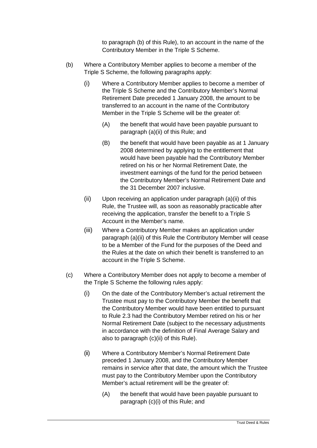to paragraph (b) of this Rule), to an account in the name of the Contributory Member in the Triple S Scheme.

- (b) Where a Contributory Member applies to become a member of the Triple S Scheme, the following paragraphs apply:
	- (i) Where a Contributory Member applies to become a member of the Triple S Scheme and the Contributory Member's Normal Retirement Date preceded 1 January 2008, the amount to be transferred to an account in the name of the Contributory Member in the Triple S Scheme will be the greater of:
		- (A) the benefit that would have been payable pursuant to paragraph (a)(ii) of this Rule; and
		- (B) the benefit that would have been payable as at 1 January 2008 determined by applying to the entitlement that would have been payable had the Contributory Member retired on his or her Normal Retirement Date, the investment earnings of the fund for the period between the Contributory Member's Normal Retirement Date and the 31 December 2007 inclusive.
	- (ii) Upon receiving an application under paragraph (a)(ii) of this Rule, the Trustee will, as soon as reasonably practicable after receiving the application, transfer the benefit to a Triple S Account in the Member's name.
	- (iii) Where a Contributory Member makes an application under paragraph (a)(ii) of this Rule the Contributory Member will cease to be a Member of the Fund for the purposes of the Deed and the Rules at the date on which their benefit is transferred to an account in the Triple S Scheme.
- (c) Where a Contributory Member does not apply to become a member of the Triple S Scheme the following rules apply:
	- (i) On the date of the Contributory Member's actual retirement the Trustee must pay to the Contributory Member the benefit that the Contributory Member would have been entitled to pursuant to Rule 2.3 had the Contributory Member retired on his or her Normal Retirement Date (subject to the necessary adjustments in accordance with the definition of Final Average Salary and also to paragraph (c)(ii) of this Rule).
	- (ii) Where a Contributory Member's Normal Retirement Date preceded 1 January 2008, and the Contributory Member remains in service after that date, the amount which the Trustee must pay to the Contributory Member upon the Contributory Member's actual retirement will be the greater of:
		- (A) the benefit that would have been payable pursuant to paragraph (c)(i) of this Rule; and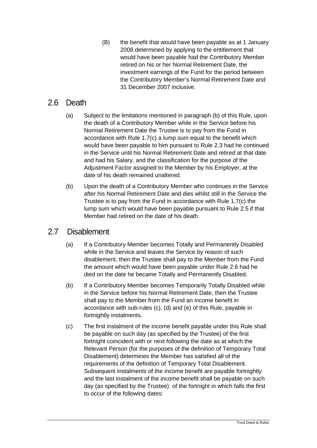(B) the benefit that would have been payable as at 1 January 2008 determined by applying to the entitlement that would have been payable had the Contributory Member retired on his or her Normal Retirement Date, the investment earnings of the Fund for the period between the Contributory Member's Normal Retirement Date and 31 December 2007 inclusive.

#### 2.6 Death

- (a) Subject to the limitations mentioned in paragraph (b) of this Rule, upon the death of a Contributory Member while in the Service before his Normal Retirement Date the Trustee is to pay from the Fund in accordance with Rule 1.7(c) a lump sum equal to the benefit which would have been payable to him pursuant to Rule 2.3 had he continued in the Service until his Normal Retirement Date and retired at that date and had his Salary, and the classification for the purpose of the Adjustment Factor assigned to the Member by his Employer, at the date of his death remained unaltered.
- (b) Upon the death of a Contributory Member who continues in the Service after his Normal Retirement Date and dies whilst still in the Service the Trustee is to pay from the Fund in accordance with Rule 1.7(c) the lump sum which would have been payable pursuant to Rule 2.5 if that Member had retired on the date of his death.

#### 2.7 Disablement

- (a) If a Contributory Member becomes Totally and Permanently Disabled while in the Service and leaves the Service by reason of such disablement, then the Trustee shall pay to the Member from the Fund the amount which would have been payable under Rule 2.6 had he died on the date he became Totally and Permanently Disabled.
- (b) If a Contributory Member becomes Temporarily Totally Disabled while in the Service before his Normal Retirement Date, then the Trustee shall pay to the Member from the Fund an income benefit in accordance with sub-rules (c), (d) and (e) of this Rule, payable in fortnightly instalments.
- (c) The first instalment of the income benefit payable under this Rule shall be payable on such day (as specified by the Trustee) of the first fortnight coincident with or next following the date as at which the Relevant Person (for the purposes of the definition of Temporary Total Disablement) determines the Member has satisfied all of the requirements of the definition of Temporary Total Disablement. Subsequent instalments of the income benefit are payable fortnightly and the last instalment of the income benefit shall be payable on such day (as specified by the Trustee) of the fortnight in which falls the first to occur of the following dates: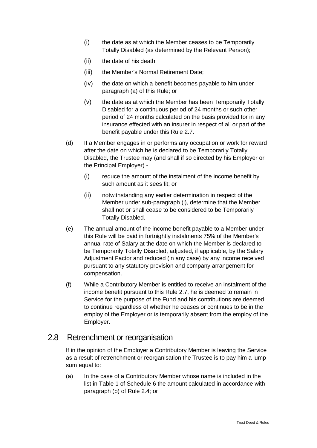- (i) the date as at which the Member ceases to be Temporarily Totally Disabled (as determined by the Relevant Person);
- (ii) the date of his death;
- (iii) the Member's Normal Retirement Date;
- (iv) the date on which a benefit becomes payable to him under paragraph (a) of this Rule; or
- (v) the date as at which the Member has been Temporarily Totally Disabled for a continuous period of 24 months or such other period of 24 months calculated on the basis provided for in any insurance effected with an insurer in respect of all or part of the benefit payable under this Rule 2.7.
- (d) If a Member engages in or performs any occupation or work for reward after the date on which he is declared to be Temporarily Totally Disabled, the Trustee may (and shall if so directed by his Employer or the Principal Employer) -
	- (i) reduce the amount of the instalment of the income benefit by such amount as it sees fit; or
	- (ii) notwithstanding any earlier determination in respect of the Member under sub-paragraph (i), determine that the Member shall not or shall cease to be considered to be Temporarily Totally Disabled.
- (e) The annual amount of the income benefit payable to a Member under this Rule will be paid in fortnightly instalments 75% of the Member's annual rate of Salary at the date on which the Member is declared to be Temporarily Totally Disabled, adjusted, if applicable, by the Salary Adjustment Factor and reduced (in any case) by any income received pursuant to any statutory provision and company arrangement for compensation.
- (f) While a Contributory Member is entitled to receive an instalment of the income benefit pursuant to this Rule 2.7, he is deemed to remain in Service for the purpose of the Fund and his contributions are deemed to continue regardless of whether he ceases or continues to be in the employ of the Employer or is temporarily absent from the employ of the Employer.

#### 2.8 Retrenchment or reorganisation

If in the opinion of the Employer a Contributory Member is leaving the Service as a result of retrenchment or reorganisation the Trustee is to pay him a lump sum equal to:

(a) In the case of a Contributory Member whose name is included in the list in Table 1 of Schedule 6 the amount calculated in accordance with paragraph (b) of Rule 2.4; or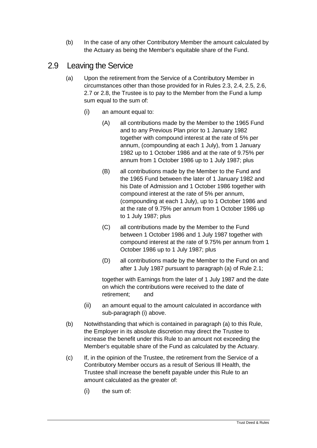(b) In the case of any other Contributory Member the amount calculated by the Actuary as being the Member's equitable share of the Fund.

# 2.9 Leaving the Service

- (a) Upon the retirement from the Service of a Contributory Member in circumstances other than those provided for in Rules 2.3, 2.4, 2.5, 2.6, 2.7 or 2.8, the Trustee is to pay to the Member from the Fund a lump sum equal to the sum of:
	- (i) an amount equal to:
		- (A) all contributions made by the Member to the 1965 Fund and to any Previous Plan prior to 1 January 1982 together with compound interest at the rate of 5% per annum, (compounding at each 1 July), from 1 January 1982 up to 1 October 1986 and at the rate of 9.75% per annum from 1 October 1986 up to 1 July 1987; plus
		- (B) all contributions made by the Member to the Fund and the 1965 Fund between the later of 1 January 1982 and his Date of Admission and 1 October 1986 together with compound interest at the rate of 5% per annum, (compounding at each 1 July), up to 1 October 1986 and at the rate of 9.75% per annum from 1 October 1986 up to 1 July 1987; plus
		- (C) all contributions made by the Member to the Fund between 1 October 1986 and 1 July 1987 together with compound interest at the rate of 9.75% per annum from 1 October 1986 up to 1 July 1987; plus
		- (D) all contributions made by the Member to the Fund on and after 1 July 1987 pursuant to paragraph (a) of Rule 2.1;

together with Earnings from the later of 1 July 1987 and the date on which the contributions were received to the date of retirement; and

- (ii) an amount equal to the amount calculated in accordance with sub-paragraph (i) above.
- (b) Notwithstanding that which is contained in paragraph (a) to this Rule, the Employer in its absolute discretion may direct the Trustee to increase the benefit under this Rule to an amount not exceeding the Member's equitable share of the Fund as calculated by the Actuary.
- (c) If, in the opinion of the Trustee, the retirement from the Service of a Contributory Member occurs as a result of Serious Ill Health, the Trustee shall increase the benefit payable under this Rule to an amount calculated as the greater of:
	- (i) the sum of: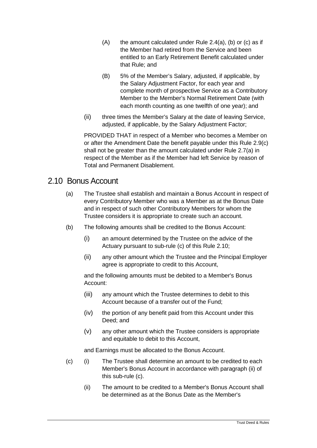- $(A)$  the amount calculated under Rule 2.4(a), (b) or (c) as if the Member had retired from the Service and been entitled to an Early Retirement Benefit calculated under that Rule; and
- (B) 5% of the Member's Salary, adjusted, if applicable, by the Salary Adjustment Factor, for each year and complete month of prospective Service as a Contributory Member to the Member's Normal Retirement Date (with each month counting as one twelfth of one year); and
- (ii) three times the Member's Salary at the date of leaving Service, adjusted, if applicable, by the Salary Adjustment Factor;

PROVIDED THAT in respect of a Member who becomes a Member on or after the Amendment Date the benefit payable under this Rule 2.9(c) shall not be greater than the amount calculated under Rule 2.7(a) in respect of the Member as if the Member had left Service by reason of Total and Permanent Disablement.

#### 2.10 Bonus Account

- (a) The Trustee shall establish and maintain a Bonus Account in respect of every Contributory Member who was a Member as at the Bonus Date and in respect of such other Contributory Members for whom the Trustee considers it is appropriate to create such an account.
- (b) The following amounts shall be credited to the Bonus Account:
	- (i) an amount determined by the Trustee on the advice of the Actuary pursuant to sub-rule (c) of this Rule 2.10;
	- (ii) any other amount which the Trustee and the Principal Employer agree is appropriate to credit to this Account,

and the following amounts must be debited to a Member's Bonus Account:

- (iii) any amount which the Trustee determines to debit to this Account because of a transfer out of the Fund;
- (iv) the portion of any benefit paid from this Account under this Deed; and
- (v) any other amount which the Trustee considers is appropriate and equitable to debit to this Account,

and Earnings must be allocated to the Bonus Account.

- (c) (i) The Trustee shall determine an amount to be credited to each Member's Bonus Account in accordance with paragraph (ii) of this sub-rule (c).
	- (ii) The amount to be credited to a Member's Bonus Account shall be determined as at the Bonus Date as the Member's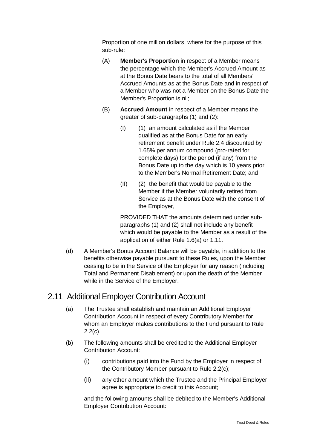Proportion of one million dollars, where for the purpose of this sub-rule:

- (A) **Member's Proportion** in respect of a Member means the percentage which the Member's Accrued Amount as at the Bonus Date bears to the total of all Members' Accrued Amounts as at the Bonus Date and in respect of a Member who was not a Member on the Bonus Date the Member's Proportion is nil;
- (B) **Accrued Amount** in respect of a Member means the greater of sub-paragraphs (1) and (2):
	- (I) (1) an amount calculated as if the Member qualified as at the Bonus Date for an early retirement benefit under Rule 2.4 discounted by 1.65% per annum compound (pro-rated for complete days) for the period (if any) from the Bonus Date up to the day which is 10 years prior to the Member's Normal Retirement Date; and
	- (II) (2) the benefit that would be payable to the Member if the Member voluntarily retired from Service as at the Bonus Date with the consent of the Employer,

PROVIDED THAT the amounts determined under subparagraphs (1) and (2) shall not include any benefit which would be payable to the Member as a result of the application of either Rule 1.6(a) or 1.11.

(d) A Member's Bonus Account Balance will be payable, in addition to the benefits otherwise payable pursuant to these Rules, upon the Member ceasing to be in the Service of the Employer for any reason (including Total and Permanent Disablement) or upon the death of the Member while in the Service of the Employer.

# 2.11 Additional Employer Contribution Account

- (a) The Trustee shall establish and maintain an Additional Employer Contribution Account in respect of every Contributory Member for whom an Employer makes contributions to the Fund pursuant to Rule  $2.2(c)$ .
- (b) The following amounts shall be credited to the Additional Employer Contribution Account:
	- (i) contributions paid into the Fund by the Employer in respect of the Contributory Member pursuant to Rule 2.2(c);
	- (ii) any other amount which the Trustee and the Principal Employer agree is appropriate to credit to this Account;

and the following amounts shall be debited to the Member's Additional Employer Contribution Account: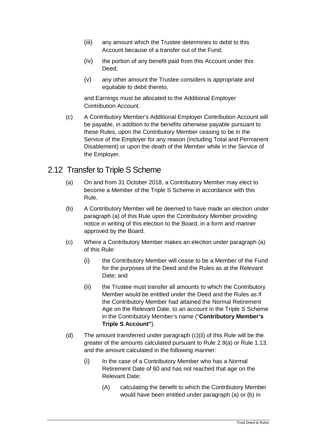- (iii) any amount which the Trustee determines to debit to this Account because of a transfer out of the Fund;
- (iv) the portion of any benefit paid from this Account under this Deed;
- (v) any other amount the Trustee considers is appropriate and equitable to debit thereto,

and Earnings must be allocated to the Additional Employer Contribution Account.

(c) A Contributory Member's Additional Employer Contribution Account will be payable, in addition to the benefits otherwise payable pursuant to these Rules, upon the Contributory Member ceasing to be in the Service of the Employer for any reason (including Total and Permanent Disablement) or upon the death of the Member while in the Service of the Employer.

#### <span id="page-57-0"></span>2.12 Transfer to Triple S Scheme

- (a) On and from 31 October 2018, a Contributory Member may elect to become a Member of the Triple S Scheme in accordance with this Rule.
- (b) A Contributory Member will be deemed to have made an election under paragraph [\(a\)](#page-57-0) of this Rule upon the Contributory Member providing notice in writing of this election to the Board, in a form and manner approved by the Board.
- (c) Where a Contributory Member makes an election under paragraph [\(a\)](#page-57-0) of this Rule:
	- (i) the Contributory Member will cease to be a Member of the Fund for the purposes of the Deed and the Rules as at the Relevant Date; and
	- (ii) the Trustee must transfer all amounts to which the Contributory Member would be entitled under the Deed and the Rules as if the Contributory Member had attained the Normal Retirement Age on the Relevant Date, to an account in the Triple S Scheme in the Contributory Member's name ("**Contributory Member's Triple S Account"**).
- (d) The amount transferred under paragraph (c)(ii) of this Rule will be the greater of the amounts calculated pursuant to Rule 2.9(a) or Rule 1.13, and the amount calculated in the following manner:
	- (i) In the case of a Contributory Member who has a Normal Retirement Date of 60 and has not reached that age on the Relevant Date:
		- (A) calculating the benefit to which the Contributory Member would have been entitled under paragraph (a) or (b) in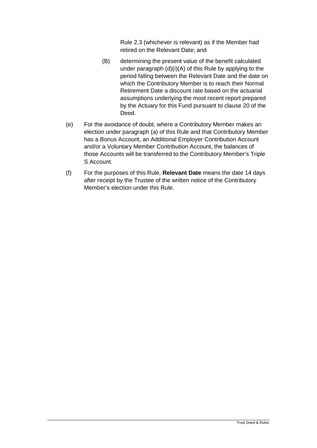Rule 2.3 (whichever is relevant) as if the Member had retired on the Relevant Date; and

- (B) determining the present value of the benefit calculated under paragraph (d)(i)(A) of this Rule by applying to the period falling between the Relevant Date and the date on which the Contributory Member is to reach their Normal Retirement Date a discount rate based on the actuarial assumptions underlying the most recent report prepared by the Actuary for this Fund pursuant to clause 20 of the Deed.
- (e) For the avoidance of doubt, where a Contributory Member makes an election under paragraph [\(a\)](#page-57-0) of this Rule and that Contributory Member has a Bonus Account, an Additional Employer Contribution Account and/or a Voluntary Member Contribution Account, the balances of those Accounts will be transferred to the Contributory Member's Triple S Account.
- (f) For the purposes of this Rule, **Relevant Date** means the date 14 days after receipt by the Trustee of the written notice of the Contributory Member's election under this Rule.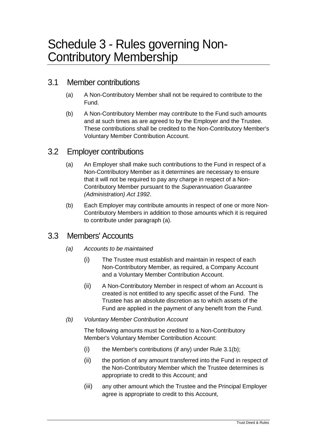#### 3.1 Member contributions

- (a) A Non-Contributory Member shall not be required to contribute to the Fund.
- (b) A Non-Contributory Member may contribute to the Fund such amounts and at such times as are agreed to by the Employer and the Trustee. These contributions shall be credited to the Non-Contributory Member's Voluntary Member Contribution Account.

#### 3.2 Employer contributions

- (a) An Employer shall make such contributions to the Fund in respect of a Non-Contributory Member as it determines are necessary to ensure that it will not be required to pay any charge in respect of a Non-Contributory Member pursuant to the *Superannuation Guarantee (Administration) Act 1992*.
- (b) Each Employer may contribute amounts in respect of one or more Non-Contributory Members in addition to those amounts which it is required to contribute under paragraph (a).

# 3.3 Members' Accounts

- *(a) Accounts to be maintained*
	- (i) The Trustee must establish and maintain in respect of each Non-Contributory Member, as required, a Company Account and a Voluntary Member Contribution Account.
	- (ii) A Non-Contributory Member in respect of whom an Account is created is not entitled to any specific asset of the Fund. The Trustee has an absolute discretion as to which assets of the Fund are applied in the payment of any benefit from the Fund.
- *(b) Voluntary Member Contribution Account*

The following amounts must be credited to a Non-Contributory Member's Voluntary Member Contribution Account:

- (i) the Member's contributions (if any) under Rule 3.1(b);
- (ii) the portion of any amount transferred into the Fund in respect of the Non-Contributory Member which the Trustee determines is appropriate to credit to this Account; and
- (iii) any other amount which the Trustee and the Principal Employer agree is appropriate to credit to this Account,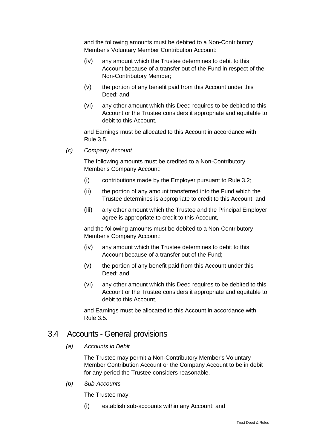and the following amounts must be debited to a Non-Contributory Member's Voluntary Member Contribution Account:

- (iv) any amount which the Trustee determines to debit to this Account because of a transfer out of the Fund in respect of the Non-Contributory Member;
- (v) the portion of any benefit paid from this Account under this Deed; and
- (vi) any other amount which this Deed requires to be debited to this Account or the Trustee considers it appropriate and equitable to debit to this Account,

and Earnings must be allocated to this Account in accordance with Rule 3.5.

*(c) Company Account*

The following amounts must be credited to a Non-Contributory Member's Company Account:

- (i) contributions made by the Employer pursuant to Rule 3.2;
- (ii) the portion of any amount transferred into the Fund which the Trustee determines is appropriate to credit to this Account; and
- (iii) any other amount which the Trustee and the Principal Employer agree is appropriate to credit to this Account,

and the following amounts must be debited to a Non-Contributory Member's Company Account:

- (iv) any amount which the Trustee determines to debit to this Account because of a transfer out of the Fund;
- (v) the portion of any benefit paid from this Account under this Deed; and
- (vi) any other amount which this Deed requires to be debited to this Account or the Trustee considers it appropriate and equitable to debit to this Account,

and Earnings must be allocated to this Account in accordance with Rule 3.5.

#### 3.4 Accounts - General provisions

*(a) Accounts in Debit*

The Trustee may permit a Non-Contributory Member's Voluntary Member Contribution Account or the Company Account to be in debit for any period the Trustee considers reasonable.

#### *(b) Sub-Accounts*

The Trustee may:

(i) establish sub-accounts within any Account; and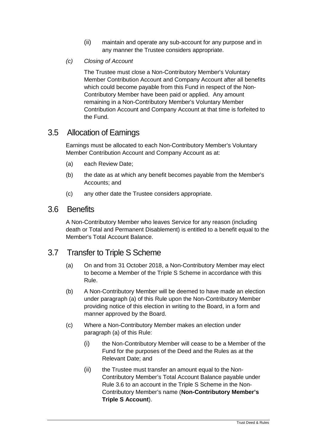- (ii) maintain and operate any sub-account for any purpose and in any manner the Trustee considers appropriate.
- *(c) Closing of Account*

The Trustee must close a Non-Contributory Member's Voluntary Member Contribution Account and Company Account after all benefits which could become payable from this Fund in respect of the Non-Contributory Member have been paid or applied. Any amount remaining in a Non-Contributory Member's Voluntary Member Contribution Account and Company Account at that time is forfeited to the Fund.

#### 3.5 Allocation of Earnings

Earnings must be allocated to each Non-Contributory Member's Voluntary Member Contribution Account and Company Account as at:

- (a) each Review Date;
- (b) the date as at which any benefit becomes payable from the Member's Accounts; and
- (c) any other date the Trustee considers appropriate.

#### 3.6 Benefits

A Non-Contributory Member who leaves Service for any reason (including death or Total and Permanent Disablement) is entitled to a benefit equal to the Member's Total Account Balance.

# 3.7 Transfer to Triple S Scheme

- (a) On and from 31 October 2018, a Non-Contributory Member may elect to become a Member of the Triple S Scheme in accordance with this Rule.
- (b) A Non-Contributory Member will be deemed to have made an election under paragraph (a) of this Rule upon the Non-Contributory Member providing notice of this election in writing to the Board, in a form and manner approved by the Board.
- (c) Where a Non-Contributory Member makes an election under paragraph [\(a\)](#page-57-0) of this Rule:
	- (i) the Non-Contributory Member will cease to be a Member of the Fund for the purposes of the Deed and the Rules as at the Relevant Date; and
	- (ii) the Trustee must transfer an amount equal to the Non-Contributory Member's Total Account Balance payable under Rule 3.6 to an account in the Triple S Scheme in the Non-Contributory Member's name (**Non-Contributory Member's Triple S Account**).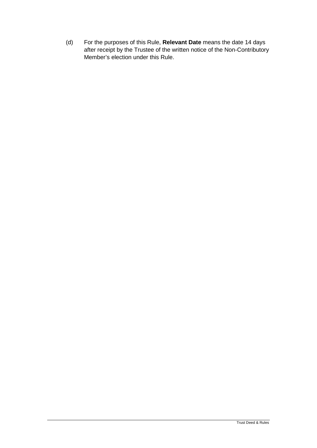(d) For the purposes of this Rule, **Relevant Date** means the date 14 days after receipt by the Trustee of the written notice of the Non-Contributory Member's election under this Rule.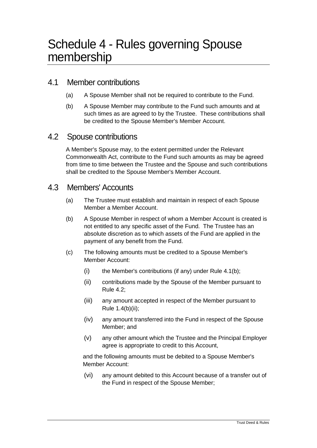#### 4.1 Member contributions

- (a) A Spouse Member shall not be required to contribute to the Fund.
- (b) A Spouse Member may contribute to the Fund such amounts and at such times as are agreed to by the Trustee. These contributions shall be credited to the Spouse Member's Member Account.

#### 4.2 Spouse contributions

A Member's Spouse may, to the extent permitted under the Relevant Commonwealth Act, contribute to the Fund such amounts as may be agreed from time to time between the Trustee and the Spouse and such contributions shall be credited to the Spouse Member's Member Account.

#### 4.3 Members' Accounts

- (a) The Trustee must establish and maintain in respect of each Spouse Member a Member Account.
- (b) A Spouse Member in respect of whom a Member Account is created is not entitled to any specific asset of the Fund. The Trustee has an absolute discretion as to which assets of the Fund are applied in the payment of any benefit from the Fund.
- (c) The following amounts must be credited to a Spouse Member's Member Account:
	- $(i)$  the Member's contributions (if any) under Rule 4.1(b);
	- (ii) contributions made by the Spouse of the Member pursuant to Rule 4.2;
	- (iii) any amount accepted in respect of the Member pursuant to Rule 1.4(b)(ii);
	- (iv) any amount transferred into the Fund in respect of the Spouse Member; and
	- (v) any other amount which the Trustee and the Principal Employer agree is appropriate to credit to this Account,

and the following amounts must be debited to a Spouse Member's Member Account:

(vi) any amount debited to this Account because of a transfer out of the Fund in respect of the Spouse Member;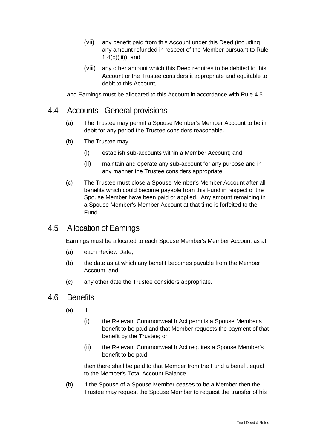- (vii) any benefit paid from this Account under this Deed (including any amount refunded in respect of the Member pursuant to Rule 1.4(b)(iii)); and
- (viii) any other amount which this Deed requires to be debited to this Account or the Trustee considers it appropriate and equitable to debit to this Account,

and Earnings must be allocated to this Account in accordance with Rule 4.5.

#### 4.4 Accounts - General provisions

- (a) The Trustee may permit a Spouse Member's Member Account to be in debit for any period the Trustee considers reasonable.
- (b) The Trustee may:
	- (i) establish sub-accounts within a Member Account; and
	- (ii) maintain and operate any sub-account for any purpose and in any manner the Trustee considers appropriate.
- (c) The Trustee must close a Spouse Member's Member Account after all benefits which could become payable from this Fund in respect of the Spouse Member have been paid or applied. Any amount remaining in a Spouse Member's Member Account at that time is forfeited to the Fund.

# 4.5 Allocation of Earnings

Earnings must be allocated to each Spouse Member's Member Account as at:

- (a) each Review Date;
- (b) the date as at which any benefit becomes payable from the Member Account; and
- (c) any other date the Trustee considers appropriate.

#### 4.6 Benefits

- (a) If:
	- (i) the Relevant Commonwealth Act permits a Spouse Member's benefit to be paid and that Member requests the payment of that benefit by the Trustee; or
	- (ii) the Relevant Commonwealth Act requires a Spouse Member's benefit to be paid,

then there shall be paid to that Member from the Fund a benefit equal to the Member's Total Account Balance.

(b) If the Spouse of a Spouse Member ceases to be a Member then the Trustee may request the Spouse Member to request the transfer of his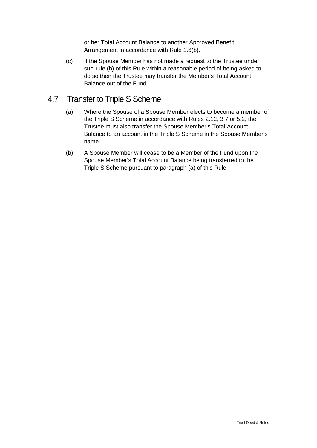or her Total Account Balance to another Approved Benefit Arrangement in accordance with Rule 1.6(b).

(c) If the Spouse Member has not made a request to the Trustee under sub-rule (b) of this Rule within a reasonable period of being asked to do so then the Trustee may transfer the Member's Total Account Balance out of the Fund.

#### <span id="page-65-0"></span>4.7 Transfer to Triple S Scheme

- (a) Where the Spouse of a Spouse Member elects to become a member of the Triple S Scheme in accordance with Rules 2.12, 3.7 or 5.2, the Trustee must also transfer the Spouse Member's Total Account Balance to an account in the Triple S Scheme in the Spouse Member's name.
- (b) A Spouse Member will cease to be a Member of the Fund upon the Spouse Member's Total Account Balance being transferred to the Triple S Scheme pursuant to paragraph [\(a\)](#page-65-0) of this Rule.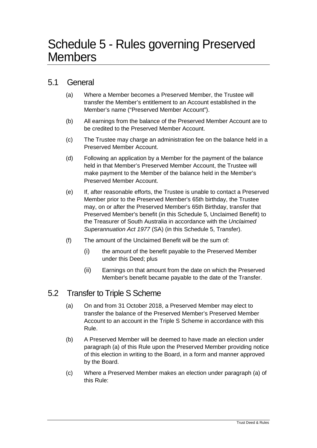#### 5.1 General

- (a) Where a Member becomes a Preserved Member, the Trustee will transfer the Member's entitlement to an Account established in the Member's name ("Preserved Member Account").
- (b) All earnings from the balance of the Preserved Member Account are to be credited to the Preserved Member Account.
- (c) The Trustee may charge an administration fee on the balance held in a Preserved Member Account.
- (d) Following an application by a Member for the payment of the balance held in that Member's Preserved Member Account, the Trustee will make payment to the Member of the balance held in the Member's Preserved Member Account.
- (e) If, after reasonable efforts, the Trustee is unable to contact a Preserved Member prior to the Preserved Member's 65th birthday, the Trustee may, on or after the Preserved Member's 65th Birthday, transfer that Preserved Member's benefit (in this Schedule 5, Unclaimed Benefit) to the Treasurer of South Australia in accordance with the *Unclaimed Superannuation Act 1977* (SA) (in this Schedule 5, Transfer).
- (f) The amount of the Unclaimed Benefit will be the sum of:
	- (i) the amount of the benefit payable to the Preserved Member under this Deed; plus
	- (ii) Earnings on that amount from the date on which the Preserved Member's benefit became payable to the date of the Transfer.

# 5.2 Transfer to Triple S Scheme

- (a) On and from 31 October 2018, a Preserved Member may elect to transfer the balance of the Preserved Member's Preserved Member Account to an account in the Triple S Scheme in accordance with this Rule.
- (b) A Preserved Member will be deemed to have made an election under paragraph (a) of this Rule upon the Preserved Member providing notice of this election in writing to the Board, in a form and manner approved by the Board.
- (c) Where a Preserved Member makes an election under paragraph [\(a\)](#page-57-0) of this Rule: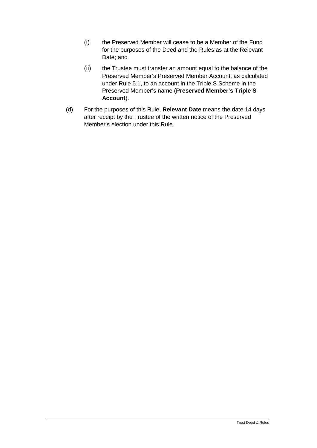- (i) the Preserved Member will cease to be a Member of the Fund for the purposes of the Deed and the Rules as at the Relevant Date; and
- (ii) the Trustee must transfer an amount equal to the balance of the Preserved Member's Preserved Member Account, as calculated under Rule 5.1, to an account in the Triple S Scheme in the Preserved Member's name (**Preserved Member's Triple S Account**).
- (d) For the purposes of this Rule, **Relevant Date** means the date 14 days after receipt by the Trustee of the written notice of the Preserved Member's election under this Rule.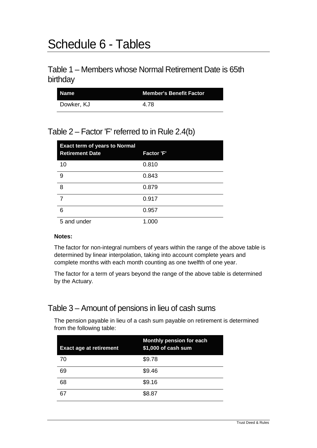# Schedule 6 - Tables

#### Table 1 – Members whose Normal Retirement Date is 65th birthday

| Name       | <b>Member's Benefit Factor</b> |  |
|------------|--------------------------------|--|
| Dowker, KJ | 4.78                           |  |

#### Table 2 – Factor 'F' referred to in Rule 2.4(b)

| <b>Exact term of years to Normal</b><br><b>Retirement Date</b> | <b>Factor 'F'</b> |
|----------------------------------------------------------------|-------------------|
| 10                                                             | 0.810             |
| 9                                                              | 0.843             |
| 8                                                              | 0.879             |
| $\overline{7}$                                                 | 0.917             |
| 6                                                              | 0.957             |
| 5 and under                                                    | 1.000             |

#### **Notes:**

The factor for non-integral numbers of years within the range of the above table is determined by linear interpolation, taking into account complete years and complete months with each month counting as one twelfth of one year.

The factor for a term of years beyond the range of the above table is determined by the Actuary.

# Table 3 – Amount of pensions in lieu of cash sums

The pension payable in lieu of a cash sum payable on retirement is determined from the following table:

| <b>Exact age at retirement</b> | <b>Monthly pension for each</b><br>\$1,000 of cash sum |
|--------------------------------|--------------------------------------------------------|
| 70                             | \$9.78                                                 |
| 69                             | \$9.46                                                 |
| 68                             | \$9.16                                                 |
| 67                             | \$8.87                                                 |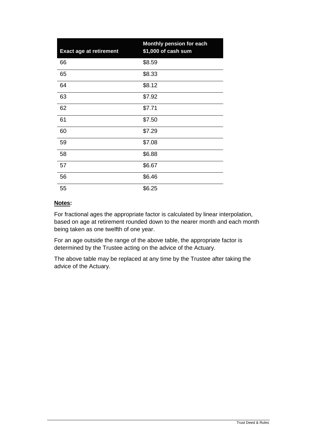| <b>Exact age at retirement</b> | Monthly pension for each<br>\$1,000 of cash sum |
|--------------------------------|-------------------------------------------------|
| 66                             | \$8.59                                          |
| 65                             | \$8.33                                          |
| 64                             | \$8.12                                          |
| 63                             | \$7.92                                          |
| 62                             | \$7.71                                          |
| 61                             | \$7.50                                          |
| 60                             | \$7.29                                          |
| 59                             | \$7.08                                          |
| 58                             | \$6.88                                          |
| 57                             | \$6.67                                          |
| 56                             | \$6.46                                          |
| 55                             | \$6.25                                          |

#### **Notes:**

For fractional ages the appropriate factor is calculated by linear interpolation, based on age at retirement rounded down to the nearer month and each month being taken as one twelfth of one year.

For an age outside the range of the above table, the appropriate factor is determined by the Trustee acting on the advice of the Actuary.

The above table may be replaced at any time by the Trustee after taking the advice of the Actuary.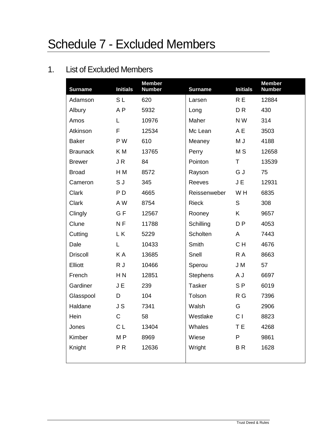# Schedule 7 - Excluded Members

# 1. List of Excluded Members

| <b>Surname</b>  | <b>Initials</b> | <b>Member</b><br><b>Number</b> | <b>Surname</b>  | <b>Initials</b> | <b>Member</b><br><b>Number</b> |
|-----------------|-----------------|--------------------------------|-----------------|-----------------|--------------------------------|
| Adamson         | SL              | 620                            | Larsen          | R E             | 12884                          |
| Albury          | A <sub>P</sub>  | 5932                           | Long            | D <sub>R</sub>  | 430                            |
| Amos            | L               | 10976                          | Maher           | N W             | 314                            |
| Atkinson        | F               | 12534                          | Mc Lean         | A E             | 3503                           |
| <b>Baker</b>    | P W             | 610                            | Meaney          | M J             | 4188                           |
| <b>Braunack</b> | K M             | 13765                          | Perry           | M <sub>S</sub>  | 12658                          |
| <b>Brewer</b>   | JR              | 84                             | Pointon         | T               | 13539                          |
| <b>Broad</b>    | H M             | 8572                           | Rayson          | G J             | 75                             |
| Cameron         | S J             | 345                            | Reeves          | J E             | 12931                          |
| Clark           | P <sub>D</sub>  | 4665                           | Reissenweber    | W <sub>H</sub>  | 6835                           |
| Clark           | A W             | 8754                           | <b>Rieck</b>    | S               | 308                            |
| Clingly         | G F             | 12567                          | Rooney          | K               | 9657                           |
| Clune           | N <sub>F</sub>  | 11788                          | Schilling       | D <sub>P</sub>  | 4053                           |
| Cutting         | L K             | 5229                           | Scholten        | A               | 7443                           |
| Dale            | Г               | 10433                          | Smith           | CH              | 4676                           |
| <b>Driscoll</b> | K A             | 13685                          | Snell           | R A             | 8663                           |
| <b>Elliott</b>  | R J             | 10466                          | Sperou          | J M             | 57                             |
| French          | H <sub>N</sub>  | 12851                          | <b>Stephens</b> | A J             | 6697                           |
| Gardiner        | J E             | 239                            | <b>Tasker</b>   | S <sub>P</sub>  | 6019                           |
| Glasspool       | D               | 104                            | Tolson          | R G             | 7396                           |
| Haldane         | J S             | 7341                           | Walsh           | G               | 2906                           |
| Hein            | $\mathsf C$     | 58                             | Westlake        | C <sub>1</sub>  | 8823                           |
| Jones           | C L             | 13404                          | Whales          | T E             | 4268                           |
| Kimber          | M <sub>P</sub>  | 8969                           | Wiese           | $\mathsf{P}$    | 9861                           |
| Knight          | PR              | 12636                          | Wright          | BR              | 1628                           |
|                 |                 |                                |                 |                 |                                |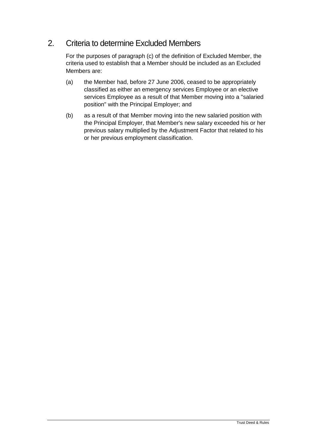#### 2. Criteria to determine Excluded Members

For the purposes of paragraph (c) of the definition of Excluded Member, the criteria used to establish that a Member should be included as an Excluded Members are:

- (a) the Member had, before 27 June 2006, ceased to be appropriately classified as either an emergency services Employee or an elective services Employee as a result of that Member moving into a "salaried position" with the Principal Employer; and
- (b) as a result of that Member moving into the new salaried position with the Principal Employer, that Member's new salary exceeded his or her previous salary multiplied by the Adjustment Factor that related to his or her previous employment classification.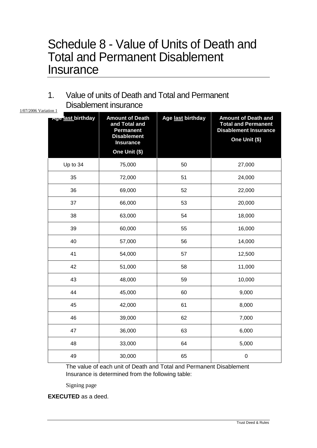## Schedule 8 - Value of Units of Death and Total and Permanent Disablement **Insurance**

1. Value of units of Death and Total and Permanent Disablement insurance

| 1/07/2006 Variation 1 |                   | ,,,,,,,,,,,,,,,,,                                                                                                      |                   |                                                                                                           |  |
|-----------------------|-------------------|------------------------------------------------------------------------------------------------------------------------|-------------------|-----------------------------------------------------------------------------------------------------------|--|
|                       | Age last birthday | <b>Amount of Death</b><br>and Total and<br><b>Permanent</b><br><b>Disablement</b><br><b>Insurance</b><br>One Unit (\$) | Age last birthday | <b>Amount of Death and</b><br><b>Total and Permanent</b><br><b>Disablement Insurance</b><br>One Unit (\$) |  |
|                       | Up to 34          | 75,000                                                                                                                 | 50                | 27,000                                                                                                    |  |
|                       | 35                | 72,000                                                                                                                 | 51                | 24,000                                                                                                    |  |
|                       | 36                | 69,000                                                                                                                 | 52                | 22,000                                                                                                    |  |
|                       | 37                | 66,000                                                                                                                 | 53                | 20,000                                                                                                    |  |
|                       | 38                | 63,000                                                                                                                 | 54                | 18,000                                                                                                    |  |
|                       | 39                | 60,000                                                                                                                 | 55                | 16,000                                                                                                    |  |
|                       | 40                | 57,000                                                                                                                 | 56                | 14,000                                                                                                    |  |
|                       | 41                | 54,000                                                                                                                 | 57                | 12,500                                                                                                    |  |
|                       | 42                | 51,000                                                                                                                 | 58                | 11,000                                                                                                    |  |
|                       | 43                | 48,000                                                                                                                 | 59                | 10,000                                                                                                    |  |
|                       | 44                | 45,000                                                                                                                 | 60                | 9,000                                                                                                     |  |
|                       | 45                | 42,000                                                                                                                 | 61                | 8,000                                                                                                     |  |
|                       | 46                | 39,000                                                                                                                 | 62                | 7,000                                                                                                     |  |
|                       | 47                | 36,000                                                                                                                 | 63                | 6,000                                                                                                     |  |
|                       | 48                | 33,000                                                                                                                 | 64                | 5,000                                                                                                     |  |
|                       | 49                | 30,000                                                                                                                 | 65                | $\mathbf 0$                                                                                               |  |

The value of each unit of Death and Total and Permanent Disablement Insurance is determined from the following table:

Signing page

**EXECUTED** as a deed.